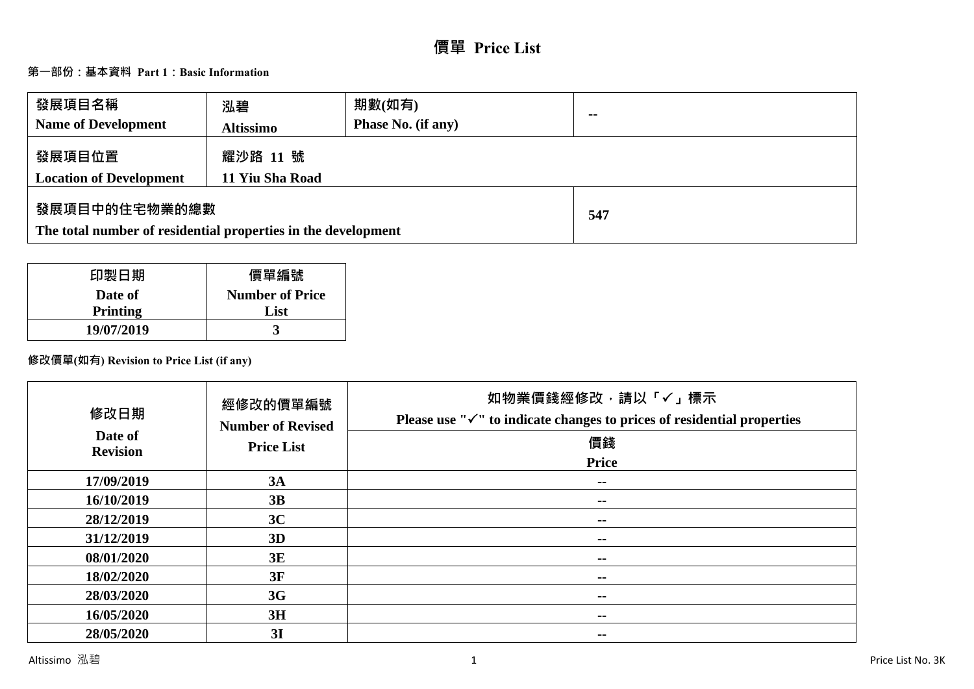# **價單 Price List**

# **第一部份:基本資料 Part 1:Basic Information**

| 發展項目名稱<br><b>Name of Development</b>                                           | 泓碧<br><b>Altissimo</b>      | 期數(如有)<br><b>Phase No. (if any)</b> | $\sim$ |
|--------------------------------------------------------------------------------|-----------------------------|-------------------------------------|--------|
| 發展項目位置<br><b>Location of Development</b>                                       | 耀沙路 11 號<br>11 Yiu Sha Road |                                     |        |
| 發展項目中的住宅物業的總數<br>The total number of residential properties in the development |                             | 547                                 |        |

| 印製日期       | 價單編號                   |
|------------|------------------------|
| Date of    | <b>Number of Price</b> |
| Printing   | List                   |
| 19/07/2019 |                        |

# **修改價單(如有) Revision to Price List (if any)**

| 修改日期                       | 經修改的價單編號<br><b>Number of Revised</b> | 如物業價錢經修改,請以「✓」標示<br>Please use " $\checkmark$ " to indicate changes to prices of residential properties |
|----------------------------|--------------------------------------|---------------------------------------------------------------------------------------------------------|
| Date of<br><b>Revision</b> | <b>Price List</b>                    | 價錢                                                                                                      |
|                            |                                      | <b>Price</b>                                                                                            |
| 17/09/2019                 | 3A                                   | --                                                                                                      |
| 16/10/2019                 | 3B                                   | --                                                                                                      |
| 28/12/2019                 | 3C                                   | --                                                                                                      |
| 31/12/2019                 | 3D                                   | $\sim$ $\sim$                                                                                           |
| 08/01/2020                 | 3E                                   | --                                                                                                      |
| 18/02/2020                 | 3F                                   | $\sim$ $\sim$                                                                                           |
| 28/03/2020                 | 3G                                   | --                                                                                                      |
| 16/05/2020                 | 3H                                   | --                                                                                                      |
| 28/05/2020                 | 3I                                   | --                                                                                                      |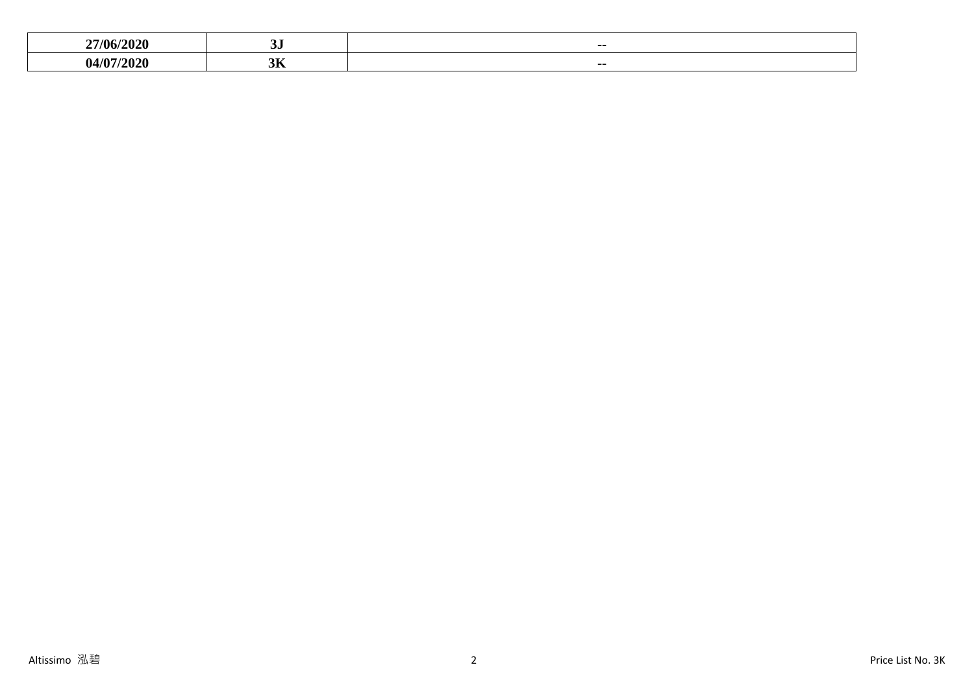| '/ቤ.         | $\sim$ $\sim$<br>ື  | $- -$ |
|--------------|---------------------|-------|
| $\mathbf{a}$ | $\sim$ $\sim$<br>JЛ | --    |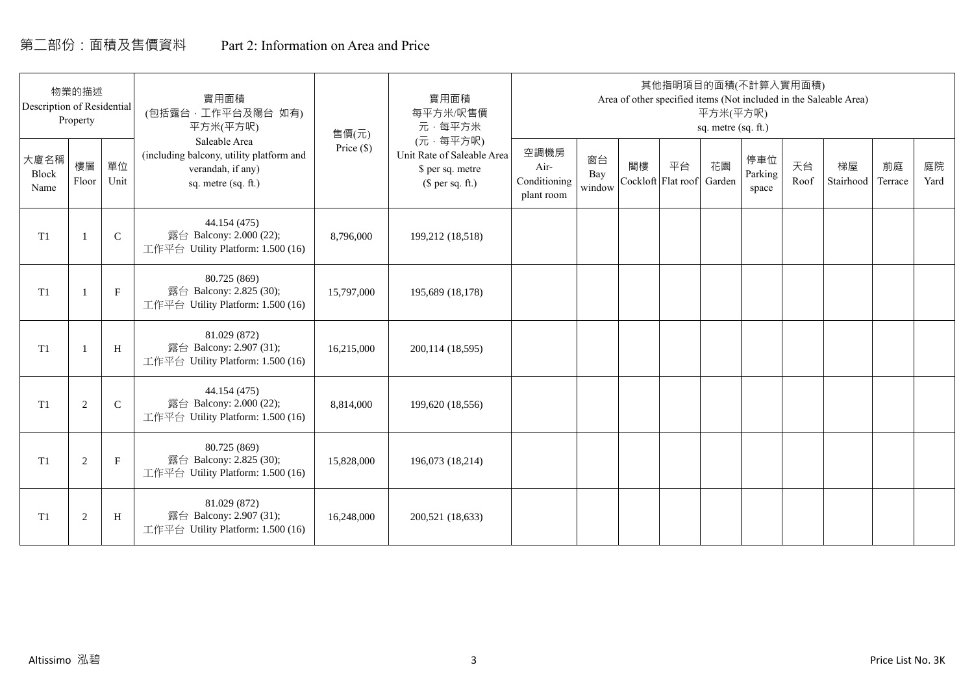# 第二部份:面積及售價資料 Part 2: Information on Area and Price

| Description of Residential | 物業的描述<br>Property |             | 實用面積<br>(包括露台,工作平台及陽台 如有)<br>平方米(平方呎)                                                                 | 售價(元)        | 實用面積<br>每平方米/呎售價<br>元·每平方米                                                     |                                            |                     |    | 其他指明項目的面積(不計算入實用面積)      | 平方米(平方呎)<br>sq. metre (sq. ft.) |                         |            | Area of other specified items (Not included in the Saleable Area) |               |            |
|----------------------------|-------------------|-------------|-------------------------------------------------------------------------------------------------------|--------------|--------------------------------------------------------------------------------|--------------------------------------------|---------------------|----|--------------------------|---------------------------------|-------------------------|------------|-------------------------------------------------------------------|---------------|------------|
| 大廈名稱<br>Block<br>Name      | 樓層<br>Floor       | 單位<br>Unit  | Saleable Area<br>(including balcony, utility platform and<br>verandah, if any)<br>sq. metre (sq. ft.) | Price $(\$)$ | (元·每平方呎)<br>Unit Rate of Saleable Area<br>\$ per sq. metre<br>$$$ per sq. ft.) | 空調機房<br>Air-<br>Conditioning<br>plant room | 窗台<br>Bay<br>window | 閣樓 | 平台<br>Cockloft Flat roof | 花園<br>Garden                    | 停車位<br>Parking<br>space | 天台<br>Roof | 梯屋<br>Stairhood                                                   | 前庭<br>Terrace | 庭院<br>Yard |
| T <sub>1</sub>             |                   | $\mathsf C$ | 44.154 (475)<br>露台 Balcony: 2.000 (22);<br>工作平台 Utility Platform: 1.500 (16)                          | 8,796,000    | 199,212 (18,518)                                                               |                                            |                     |    |                          |                                 |                         |            |                                                                   |               |            |
| T <sub>1</sub>             |                   | $\mathbf F$ | 80.725 (869)<br>露台 Balcony: 2.825 (30);<br>工作平台 Utility Platform: 1.500 (16)                          | 15,797,000   | 195,689 (18,178)                                                               |                                            |                     |    |                          |                                 |                         |            |                                                                   |               |            |
| T <sub>1</sub>             |                   | H           | 81.029 (872)<br>露台 Balcony: 2.907 (31);<br>工作平台 Utility Platform: 1.500 (16)                          | 16,215,000   | 200,114 (18,595)                                                               |                                            |                     |    |                          |                                 |                         |            |                                                                   |               |            |
| T1                         | 2                 | $\mathbf C$ | 44.154 (475)<br>露台 Balcony: 2.000 (22);<br>工作平台 Utility Platform: 1.500 (16)                          | 8,814,000    | 199,620 (18,556)                                                               |                                            |                     |    |                          |                                 |                         |            |                                                                   |               |            |
| T1                         | 2                 | $\mathbf F$ | 80.725 (869)<br>露台 Balcony: 2.825 (30);<br>工作平台 Utility Platform: 1.500 (16)                          | 15,828,000   | 196,073 (18,214)                                                               |                                            |                     |    |                          |                                 |                         |            |                                                                   |               |            |
| T1                         | $\overline{2}$    | H           | 81.029 (872)<br>露台 Balcony: 2.907 (31);<br>工作平台 Utility Platform: 1.500 (16)                          | 16,248,000   | 200,521 (18,633)                                                               |                                            |                     |    |                          |                                 |                         |            |                                                                   |               |            |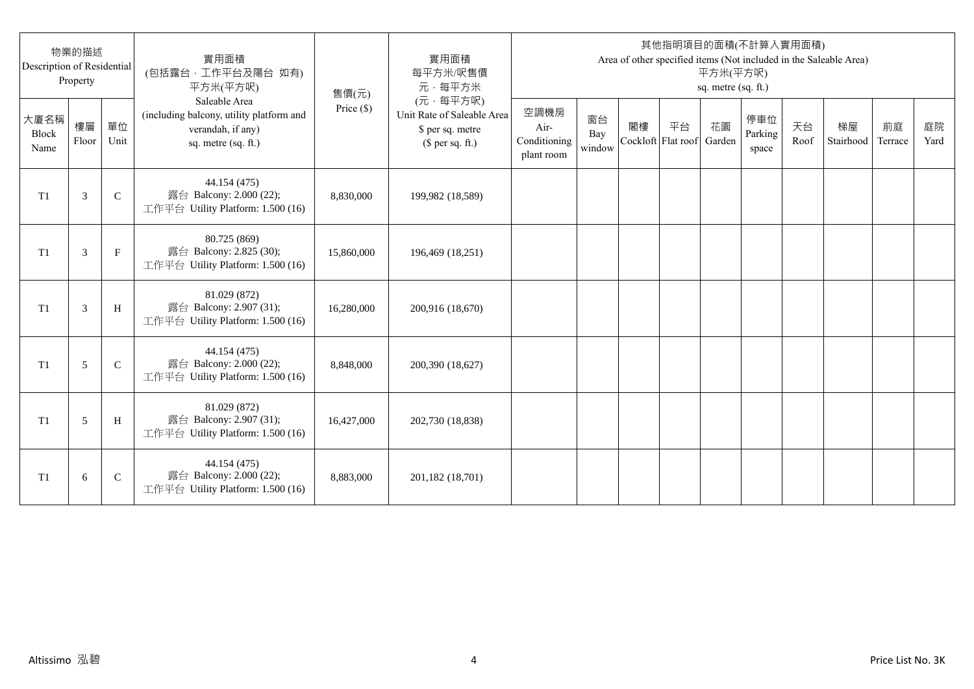| Description of Residential | 物業的描述<br>Property |              | 實用面積<br>(包括露台,工作平台及陽台 如有)<br>平方米(平方呎)                                                                 | 售價(元)      | 實用面積<br>每平方米/呎售價<br>元·每平方米                                                     |                                            |                     |                          |    | 平方米(平方呎)<br>sq. metre (sq. ft.) | 其他指明項目的面積(不計算入實用面積)     |            | Area of other specified items (Not included in the Saleable Area) |               |            |
|----------------------------|-------------------|--------------|-------------------------------------------------------------------------------------------------------|------------|--------------------------------------------------------------------------------|--------------------------------------------|---------------------|--------------------------|----|---------------------------------|-------------------------|------------|-------------------------------------------------------------------|---------------|------------|
| 大廈名稱<br>Block<br>Name      | 樓層<br>Floor       | 單位<br>Unit   | Saleable Area<br>(including balcony, utility platform and<br>verandah, if any)<br>sq. metre (sq. ft.) | Price (\$) | (元·每平方呎)<br>Unit Rate of Saleable Area<br>\$ per sq. metre<br>$$$ per sq. ft.) | 空調機房<br>Air-<br>Conditioning<br>plant room | 窗台<br>Bay<br>window | 閣樓<br>Cockloft Flat roof | 平台 | 花園<br>Garden                    | 停車位<br>Parking<br>space | 天台<br>Roof | 梯屋<br>Stairhood                                                   | 前庭<br>Terrace | 庭院<br>Yard |
| T <sub>1</sub>             | 3                 | $\mathsf{C}$ | 44.154 (475)<br>露台 Balcony: 2.000 (22);<br>工作平台 Utility Platform: 1.500 (16)                          | 8,830,000  | 199,982 (18,589)                                                               |                                            |                     |                          |    |                                 |                         |            |                                                                   |               |            |
| T <sub>1</sub>             | 3                 | $_{\rm F}$   | 80.725 (869)<br>露台 Balcony: 2.825 (30);<br>工作平台 Utility Platform: 1.500 (16)                          | 15,860,000 | 196,469 (18,251)                                                               |                                            |                     |                          |    |                                 |                         |            |                                                                   |               |            |
| T1                         | 3                 | H            | 81.029 (872)<br>露台 Balcony: 2.907 (31);<br>工作平台 Utility Platform: 1.500 (16)                          | 16,280,000 | 200,916 (18,670)                                                               |                                            |                     |                          |    |                                 |                         |            |                                                                   |               |            |
| T1                         | 5                 | $\mathsf{C}$ | 44.154 (475)<br>露台 Balcony: 2.000 (22);<br>工作平台 Utility Platform: 1.500 (16)                          | 8,848,000  | 200,390 (18,627)                                                               |                                            |                     |                          |    |                                 |                         |            |                                                                   |               |            |
| T1                         | 5                 | H            | 81.029 (872)<br>露台 Balcony: 2.907 (31);<br>工作平台 Utility Platform: 1.500 (16)                          | 16,427,000 | 202,730 (18,838)                                                               |                                            |                     |                          |    |                                 |                         |            |                                                                   |               |            |
| T <sub>1</sub>             | 6                 | $\mathsf{C}$ | 44.154 (475)<br>露台 Balcony: 2.000 (22);<br>工作平台 Utility Platform: 1.500 (16)                          | 8,883,000  | 201,182 (18,701)                                                               |                                            |                     |                          |    |                                 |                         |            |                                                                   |               |            |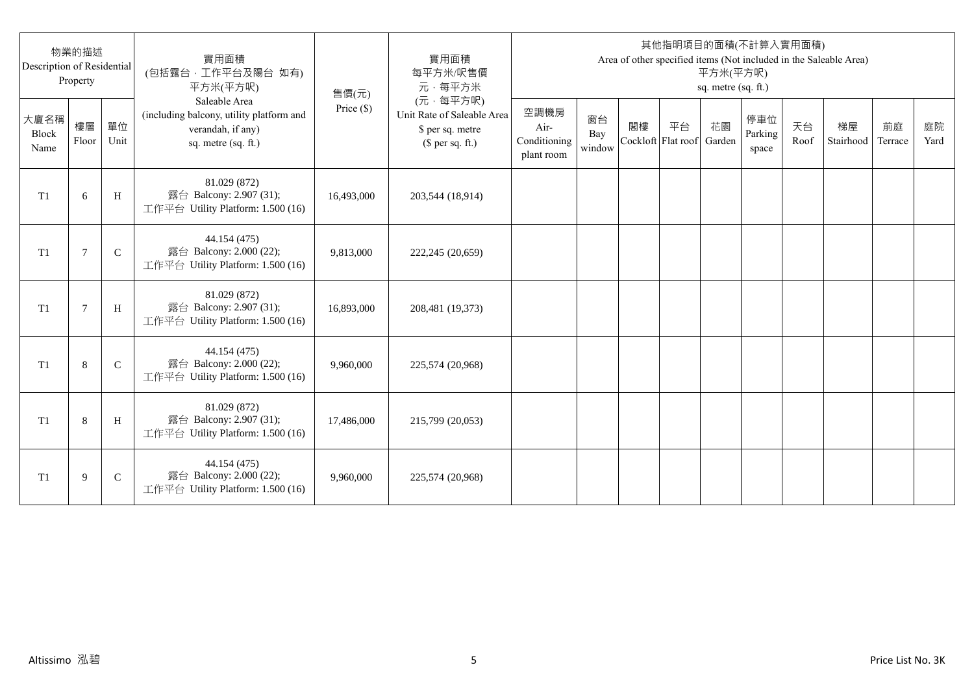| Description of Residential | 物業的描述<br>Property |              | 實用面積<br>(包括露台·工作平台及陽台 如有)<br>平方米(平方呎)                                                                 | 售價(元)      | 實用面積<br>每平方米/呎售價<br>元·每平方米                                                     |                                            |                     |    |                          | 平方米(平方呎)<br>sq. metre (sq. ft.) | 其他指明項目的面積(不計算入實用面積)     |            | Area of other specified items (Not included in the Saleable Area) |               |            |
|----------------------------|-------------------|--------------|-------------------------------------------------------------------------------------------------------|------------|--------------------------------------------------------------------------------|--------------------------------------------|---------------------|----|--------------------------|---------------------------------|-------------------------|------------|-------------------------------------------------------------------|---------------|------------|
| 大廈名稱<br>Block<br>Name      | 樓層<br>Floor       | 單位<br>Unit   | Saleable Area<br>(including balcony, utility platform and<br>verandah, if any)<br>sq. metre (sq. ft.) | Price (\$) | (元·每平方呎)<br>Unit Rate of Saleable Area<br>\$ per sq. metre<br>$$$ per sq. ft.) | 空調機房<br>Air-<br>Conditioning<br>plant room | 窗台<br>Bay<br>window | 閣樓 | 平台<br>Cockloft Flat roof | 花園<br>Garden                    | 停車位<br>Parking<br>space | 天台<br>Roof | 梯屋<br>Stairhood                                                   | 前庭<br>Terrace | 庭院<br>Yard |
| T1                         | 6                 | H            | 81.029 (872)<br>露台 Balcony: 2.907 (31);<br>工作平台 Utility Platform: 1.500 (16)                          | 16,493,000 | 203,544 (18,914)                                                               |                                            |                     |    |                          |                                 |                         |            |                                                                   |               |            |
| T <sub>1</sub>             | $\overline{7}$    | $\mathsf{C}$ | 44.154 (475)<br>露台 Balcony: 2.000 (22);<br>工作平台 Utility Platform: 1.500 (16)                          | 9,813,000  | 222,245 (20,659)                                                               |                                            |                     |    |                          |                                 |                         |            |                                                                   |               |            |
| T1                         | $7\phantom{.0}$   | H            | 81.029 (872)<br>露台 Balcony: 2.907 (31);<br>工作平台 Utility Platform: 1.500 (16)                          | 16,893,000 | 208,481 (19,373)                                                               |                                            |                     |    |                          |                                 |                         |            |                                                                   |               |            |
| T1                         | 8                 | $\mathbf C$  | 44.154 (475)<br>露台 Balcony: 2.000 (22);<br>工作平台 Utility Platform: 1.500 (16)                          | 9.960.000  | 225,574 (20,968)                                                               |                                            |                     |    |                          |                                 |                         |            |                                                                   |               |            |
| T <sub>1</sub>             | 8                 | H            | 81.029 (872)<br>露台 Balcony: 2.907 (31);<br>工作平台 Utility Platform: 1.500 (16)                          | 17,486,000 | 215,799 (20,053)                                                               |                                            |                     |    |                          |                                 |                         |            |                                                                   |               |            |
| T1                         | 9                 | $\mathsf{C}$ | 44.154 (475)<br>露台 Balcony: 2.000 (22);<br>工作平台 Utility Platform: 1.500 (16)                          | 9,960,000  | 225,574 (20,968)                                                               |                                            |                     |    |                          |                                 |                         |            |                                                                   |               |            |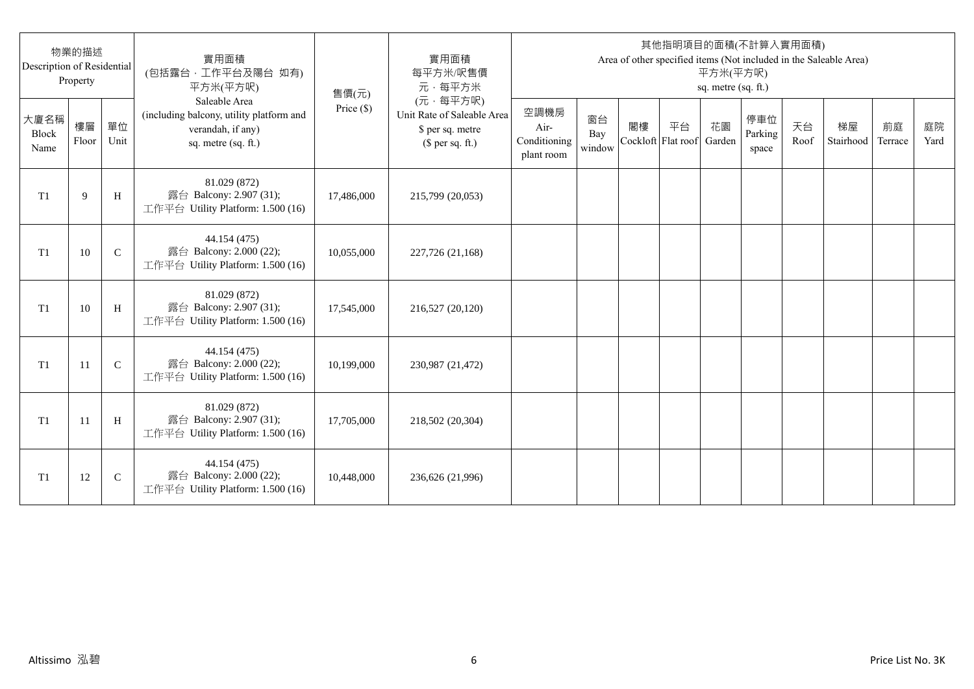| Description of Residential | 物業的描述<br>Property |              | 實用面積<br>(包括露台,工作平台及陽台 如有)<br>平方米(平方呎)                                                                 | 售價(元)      | 實用面積<br>每平方米/呎售價<br>元·每平方米                                                     |                                            |                     |                          |    | 平方米(平方呎)<br>sq. metre (sq. ft.) | 其他指明項目的面積(不計算入實用面積)     |            | Area of other specified items (Not included in the Saleable Area) |               |            |
|----------------------------|-------------------|--------------|-------------------------------------------------------------------------------------------------------|------------|--------------------------------------------------------------------------------|--------------------------------------------|---------------------|--------------------------|----|---------------------------------|-------------------------|------------|-------------------------------------------------------------------|---------------|------------|
| 大廈名稱<br>Block<br>Name      | 樓層<br>Floor       | 單位<br>Unit   | Saleable Area<br>(including balcony, utility platform and<br>verandah, if any)<br>sq. metre (sq. ft.) | Price (\$) | (元·每平方呎)<br>Unit Rate of Saleable Area<br>\$ per sq. metre<br>$$$ per sq. ft.) | 空調機房<br>Air-<br>Conditioning<br>plant room | 窗台<br>Bay<br>window | 閣樓<br>Cockloft Flat roof | 平台 | 花園<br>Garden                    | 停車位<br>Parking<br>space | 天台<br>Roof | 梯屋<br>Stairhood                                                   | 前庭<br>Terrace | 庭院<br>Yard |
| T <sub>1</sub>             | 9                 | H            | 81.029 (872)<br>露台 Balcony: 2.907 (31);<br>工作平台 Utility Platform: 1.500 (16)                          | 17,486,000 | 215,799 (20,053)                                                               |                                            |                     |                          |    |                                 |                         |            |                                                                   |               |            |
| T <sub>1</sub>             | 10                | $\mathsf{C}$ | 44.154 (475)<br>露台 Balcony: 2.000 (22);<br>工作平台 Utility Platform: 1.500 (16)                          | 10,055,000 | 227,726 (21,168)                                                               |                                            |                     |                          |    |                                 |                         |            |                                                                   |               |            |
| T1                         | 10                | H            | 81.029 (872)<br>露台 Balcony: 2.907 (31);<br>工作平台 Utility Platform: 1.500 (16)                          | 17,545,000 | 216,527 (20,120)                                                               |                                            |                     |                          |    |                                 |                         |            |                                                                   |               |            |
| T1                         | 11                | $\mathbf C$  | 44.154 (475)<br>露台 Balcony: 2.000 (22);<br>工作平台 Utility Platform: 1.500 (16)                          | 10,199,000 | 230,987 (21,472)                                                               |                                            |                     |                          |    |                                 |                         |            |                                                                   |               |            |
| T1                         | -11               | H            | 81.029 (872)<br>露台 Balcony: 2.907 (31);<br>工作平台 Utility Platform: 1.500 (16)                          | 17,705,000 | 218,502 (20,304)                                                               |                                            |                     |                          |    |                                 |                         |            |                                                                   |               |            |
| T <sub>1</sub>             | 12                | $\mathsf{C}$ | 44.154 (475)<br>露台 Balcony: 2.000 (22);<br>工作平台 Utility Platform: 1.500 (16)                          | 10,448,000 | 236,626 (21,996)                                                               |                                            |                     |                          |    |                                 |                         |            |                                                                   |               |            |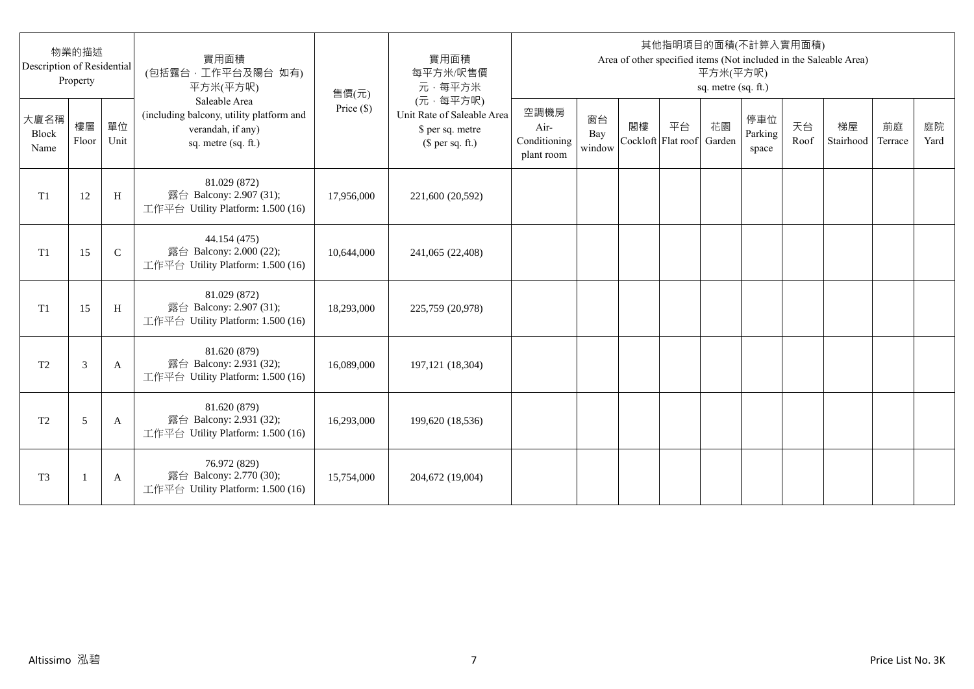| Description of Residential | 物業的描述<br>Property |               | 實用面積<br>(包括露台,工作平台及陽台 如有)<br>平方米(平方呎)                                                                 | 售價(元)      | 實用面積<br>每平方米/呎售價<br>元·每平方米                                                     |                                            |                     |    |                          | 平方米(平方呎)<br>sq. metre (sq. ft.) | 其他指明項目的面積(不計算入實用面積)     |            | Area of other specified items (Not included in the Saleable Area) |               |            |
|----------------------------|-------------------|---------------|-------------------------------------------------------------------------------------------------------|------------|--------------------------------------------------------------------------------|--------------------------------------------|---------------------|----|--------------------------|---------------------------------|-------------------------|------------|-------------------------------------------------------------------|---------------|------------|
| 大廈名稱<br>Block<br>Name      | 樓層<br>Floor       | 單位<br>Unit    | Saleable Area<br>(including balcony, utility platform and<br>verandah, if any)<br>sq. metre (sq. ft.) | Price (\$) | (元·每平方呎)<br>Unit Rate of Saleable Area<br>\$ per sq. metre<br>$$$ per sq. ft.) | 空調機房<br>Air-<br>Conditioning<br>plant room | 窗台<br>Bay<br>window | 閣樓 | 平台<br>Cockloft Flat roof | 花園<br>Garden                    | 停車位<br>Parking<br>space | 天台<br>Roof | 梯屋<br>Stairhood                                                   | 前庭<br>Terrace | 庭院<br>Yard |
| T1                         | 12                | H             | 81.029 (872)<br>露台 Balcony: 2.907 (31);<br>工作平台 Utility Platform: 1.500 (16)                          | 17,956,000 | 221,600 (20,592)                                                               |                                            |                     |    |                          |                                 |                         |            |                                                                   |               |            |
| T1                         | 15                | $\mathcal{C}$ | 44.154 (475)<br>露台 Balcony: 2.000 (22);<br>工作平台 Utility Platform: 1.500 (16)                          | 10,644,000 | 241,065 (22,408)                                                               |                                            |                     |    |                          |                                 |                         |            |                                                                   |               |            |
| T1                         | 15                | H             | 81.029 (872)<br>露台 Balcony: 2.907 (31);<br>工作平台 Utility Platform: 1.500 (16)                          | 18,293,000 | 225,759 (20,978)                                                               |                                            |                     |    |                          |                                 |                         |            |                                                                   |               |            |
| T <sub>2</sub>             | 3                 | A             | 81.620 (879)<br>露台 Balcony: 2.931 (32);<br>工作平台 Utility Platform: 1.500 (16)                          | 16,089,000 | 197, 121 (18, 304)                                                             |                                            |                     |    |                          |                                 |                         |            |                                                                   |               |            |
| T <sub>2</sub>             | 5                 | A             | 81.620 (879)<br>露台 Balcony: 2.931 (32);<br>工作平台 Utility Platform: 1.500 (16)                          | 16,293,000 | 199,620 (18,536)                                                               |                                            |                     |    |                          |                                 |                         |            |                                                                   |               |            |
| T <sub>3</sub>             |                   | A             | 76.972 (829)<br>露台 Balcony: 2.770 (30);<br>工作平台 Utility Platform: 1.500 (16)                          | 15,754,000 | 204,672 (19,004)                                                               |                                            |                     |    |                          |                                 |                         |            |                                                                   |               |            |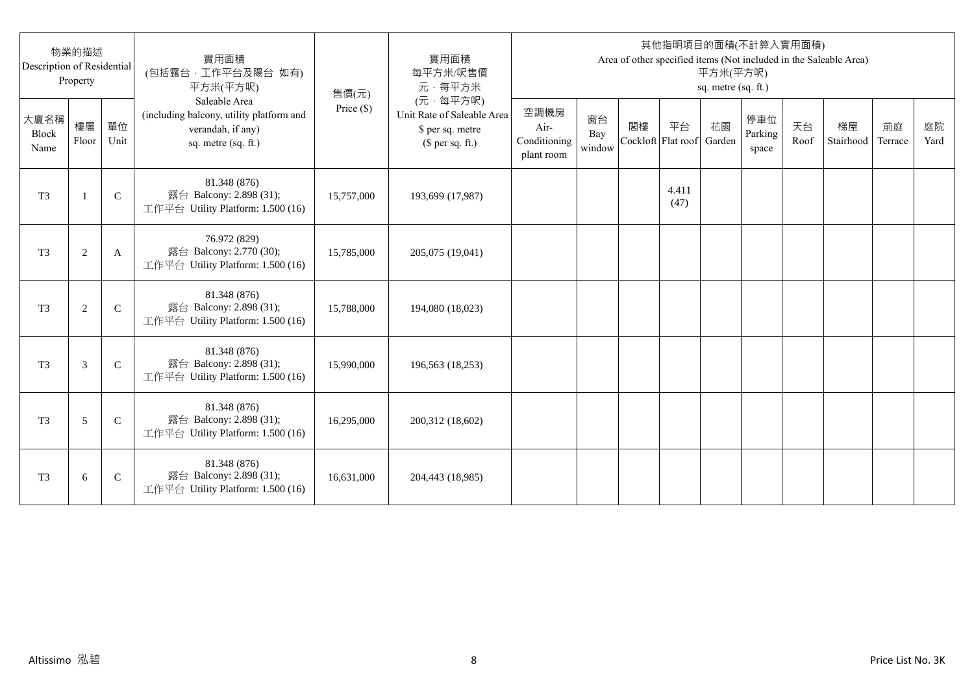| Description of Residential | 物業的描述<br>Property |              | 實用面積<br>(包括露台,工作平台及陽台 如有)<br>平方米(平方呎)                                                                 | 售價(元)      | 實用面積<br>每平方米/呎售價<br>元·每平方米                                                     |                                            |                     |                          |               | 平方米(平方呎)<br>sq. metre (sq. ft.) | 其他指明項目的面積(不計算入實用面積)     |            | Area of other specified items (Not included in the Saleable Area) |               |            |
|----------------------------|-------------------|--------------|-------------------------------------------------------------------------------------------------------|------------|--------------------------------------------------------------------------------|--------------------------------------------|---------------------|--------------------------|---------------|---------------------------------|-------------------------|------------|-------------------------------------------------------------------|---------------|------------|
| 大廈名稱<br>Block<br>Name      | 樓層<br>Floor       | 單位<br>Unit   | Saleable Area<br>(including balcony, utility platform and<br>verandah, if any)<br>sq. metre (sq. ft.) | Price (\$) | (元·每平方呎)<br>Unit Rate of Saleable Area<br>\$ per sq. metre<br>$$$ per sq. ft.) | 空調機房<br>Air-<br>Conditioning<br>plant room | 窗台<br>Bay<br>window | 閣樓<br>Cockloft Flat roof | 平台            | 花園<br>Garden                    | 停車位<br>Parking<br>space | 天台<br>Roof | 梯屋<br>Stairhood                                                   | 前庭<br>Terrace | 庭院<br>Yard |
| T <sub>3</sub>             | $\mathbf{1}$      | $\mathsf{C}$ | 81.348 (876)<br>露台 Balcony: 2.898 (31);<br>工作平台 Utility Platform: 1.500 (16)                          | 15,757,000 | 193,699 (17,987)                                                               |                                            |                     |                          | 4.411<br>(47) |                                 |                         |            |                                                                   |               |            |
| T <sub>3</sub>             | $\overline{c}$    | A            | 76.972 (829)<br>露台 Balcony: 2.770 (30);<br>工作平台 Utility Platform: 1.500 (16)                          | 15,785,000 | 205,075 (19,041)                                                               |                                            |                     |                          |               |                                 |                         |            |                                                                   |               |            |
| T <sub>3</sub>             | $\overline{c}$    | $\mathsf{C}$ | 81.348 (876)<br>露台 Balcony: 2.898 (31);<br>工作平台 Utility Platform: 1.500 (16)                          | 15,788,000 | 194,080 (18,023)                                                               |                                            |                     |                          |               |                                 |                         |            |                                                                   |               |            |
| T <sub>3</sub>             | 3                 | $\mathsf{C}$ | 81.348 (876)<br>露台 Balcony: 2.898 (31);<br>工作平台 Utility Platform: 1.500 (16)                          | 15,990,000 | 196,563 (18,253)                                                               |                                            |                     |                          |               |                                 |                         |            |                                                                   |               |            |
| T <sub>3</sub>             | 5                 | $\mathsf{C}$ | 81.348 (876)<br>露台 Balcony: 2.898 (31);<br>工作平台 Utility Platform: 1.500 (16)                          | 16,295,000 | 200,312 (18,602)                                                               |                                            |                     |                          |               |                                 |                         |            |                                                                   |               |            |
| T <sub>3</sub>             | 6                 | $\mathsf{C}$ | 81.348 (876)<br>露台 Balcony: 2.898 (31);<br>工作平台 Utility Platform: 1.500 (16)                          | 16,631,000 | 204,443 (18,985)                                                               |                                            |                     |                          |               |                                 |                         |            |                                                                   |               |            |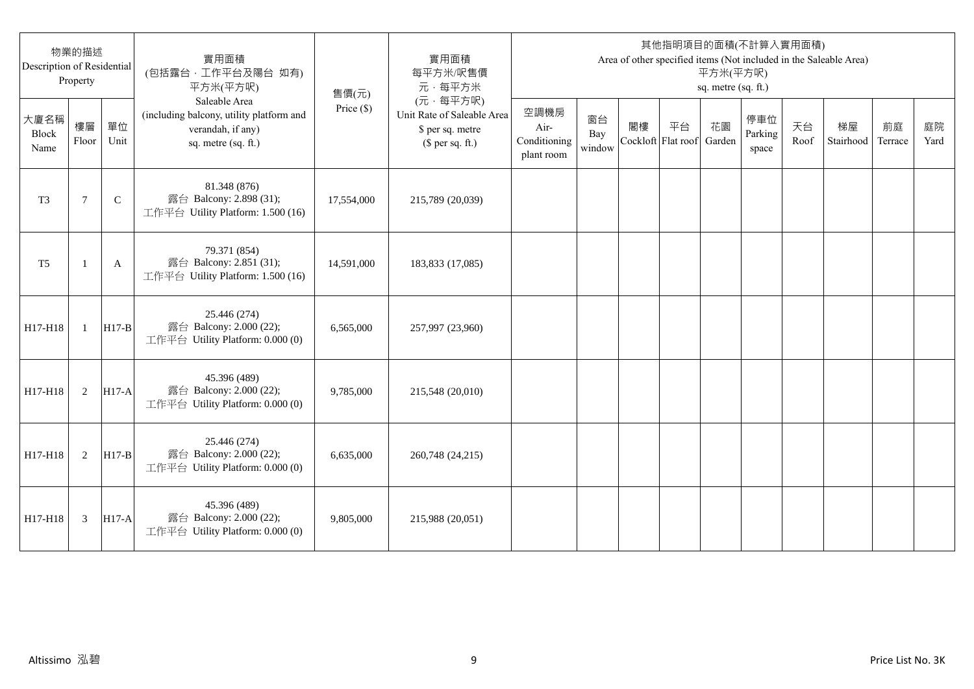| Description of Residential | 物業的描述<br>Property |              | 實用面積<br>(包括露台,工作平台及陽台 如有)<br>平方米(平方呎)                                                                 | 售價(元)      | 實用面積<br>每平方米/呎售價<br>元·每平方米                                                     |                                            |                     |                          |    | 平方米(平方呎)<br>sq. metre (sq. ft.) | 其他指明項目的面積(不計算入實用面積)     |            | Area of other specified items (Not included in the Saleable Area) |               |            |
|----------------------------|-------------------|--------------|-------------------------------------------------------------------------------------------------------|------------|--------------------------------------------------------------------------------|--------------------------------------------|---------------------|--------------------------|----|---------------------------------|-------------------------|------------|-------------------------------------------------------------------|---------------|------------|
| 大廈名稱<br>Block<br>Name      | 樓層<br>Floor       | 單位<br>Unit   | Saleable Area<br>(including balcony, utility platform and<br>verandah, if any)<br>sq. metre (sq. ft.) | Price (\$) | (元·每平方呎)<br>Unit Rate of Saleable Area<br>\$ per sq. metre<br>$$$ per sq. ft.) | 空調機房<br>Air-<br>Conditioning<br>plant room | 窗台<br>Bay<br>window | 閣樓<br>Cockloft Flat roof | 平台 | 花園<br>Garden                    | 停車位<br>Parking<br>space | 天台<br>Roof | 梯屋<br>Stairhood                                                   | 前庭<br>Terrace | 庭院<br>Yard |
| T <sub>3</sub>             | $\tau$            | $\mathsf{C}$ | 81.348 (876)<br>露台 Balcony: 2.898 (31);<br>工作平台 Utility Platform: 1.500 (16)                          | 17,554,000 | 215,789 (20,039)                                                               |                                            |                     |                          |    |                                 |                         |            |                                                                   |               |            |
| T <sub>5</sub>             |                   | A            | 79.371 (854)<br>露台 Balcony: 2.851 (31);<br>工作平台 Utility Platform: 1.500 (16)                          | 14,591,000 | 183,833 (17,085)                                                               |                                            |                     |                          |    |                                 |                         |            |                                                                   |               |            |
| H17-H18                    | $\mathbf{1}$      | $H17-B$      | 25.446 (274)<br>露台 Balcony: 2.000 (22);<br>工作平台 Utility Platform: 0.000 (0)                           | 6,565,000  | 257,997 (23,960)                                                               |                                            |                     |                          |    |                                 |                         |            |                                                                   |               |            |
| H17-H18                    | 2                 | $H17-A$      | 45.396 (489)<br>露台 Balcony: 2.000 (22);<br>工作平台 Utility Platform: 0.000 (0)                           | 9,785,000  | 215,548 (20,010)                                                               |                                            |                     |                          |    |                                 |                         |            |                                                                   |               |            |
| H17-H18                    | 2                 | $H17-B$      | 25.446 (274)<br>露台 Balcony: 2.000 (22);<br>工作平台 Utility Platform: 0.000 (0)                           | 6,635,000  | 260,748 (24,215)                                                               |                                            |                     |                          |    |                                 |                         |            |                                                                   |               |            |
| H17-H18                    | 3                 | <b>H17-A</b> | 45.396 (489)<br>露台 Balcony: 2.000 (22);<br>工作平台 Utility Platform: 0.000 (0)                           | 9,805,000  | 215,988 (20,051)                                                               |                                            |                     |                          |    |                                 |                         |            |                                                                   |               |            |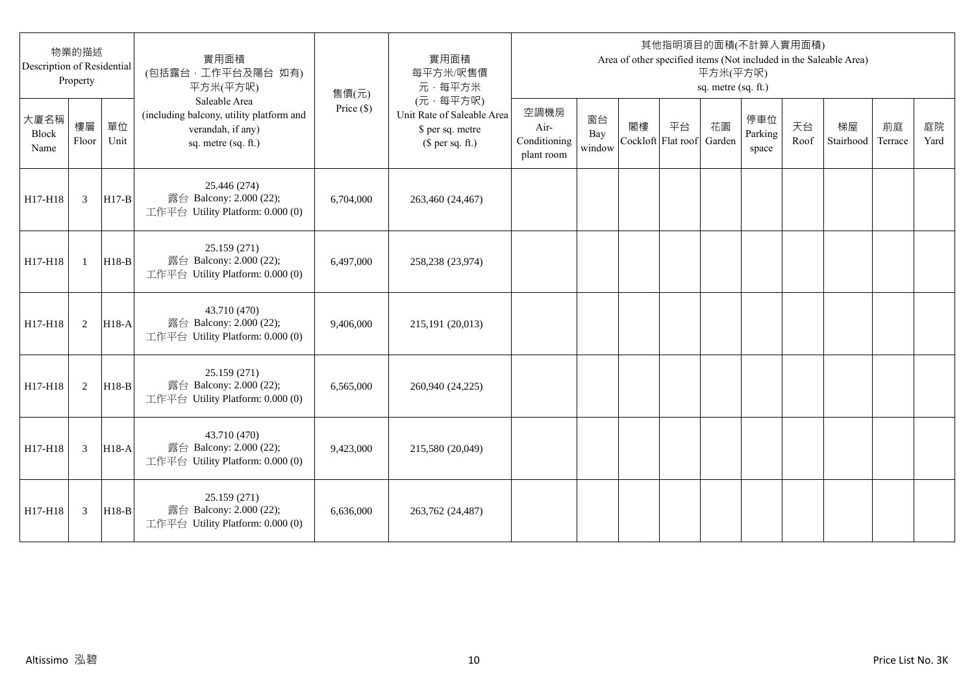| Description of Residential | 物業的描述<br>Property |            | 實用面積<br>(包括露台,工作平台及陽台 如有)<br>平方米(平方呎)                                                                 | 售價(元)        | 實用面積<br>每平方米/呎售價<br>元·每平方米                                                     |                                            |                     |                          |    | 平方米(平方呎)<br>sq. metre (sq. ft.) | 其他指明項目的面積(不計算入實用面積)     |            | Area of other specified items (Not included in the Saleable Area) |               |            |
|----------------------------|-------------------|------------|-------------------------------------------------------------------------------------------------------|--------------|--------------------------------------------------------------------------------|--------------------------------------------|---------------------|--------------------------|----|---------------------------------|-------------------------|------------|-------------------------------------------------------------------|---------------|------------|
| 大廈名稱<br>Block<br>Name      | 樓層<br>Floor       | 單位<br>Unit | Saleable Area<br>(including balcony, utility platform and<br>verandah, if any)<br>sq. metre (sq. ft.) | Price $(\$)$ | (元·每平方呎)<br>Unit Rate of Saleable Area<br>\$ per sq. metre<br>$$$ per sq. ft.) | 空調機房<br>Air-<br>Conditioning<br>plant room | 窗台<br>Bay<br>window | 閣樓<br>Cockloft Flat roof | 平台 | 花園<br>Garden                    | 停車位<br>Parking<br>space | 天台<br>Roof | 梯屋<br>Stairhood                                                   | 前庭<br>Terrace | 庭院<br>Yard |
| H17-H18                    | 3                 | $H17-B$    | 25.446 (274)<br>露台 Balcony: 2.000 (22);<br>工作平台 Utility Platform: 0.000 (0)                           | 6,704,000    | 263,460 (24,467)                                                               |                                            |                     |                          |    |                                 |                         |            |                                                                   |               |            |
| H17-H18                    | $\mathbf{1}$      | $H18-B$    | 25.159 (271)<br>露台 Balcony: 2.000 (22);<br>工作平台 Utility Platform: 0.000 (0)                           | 6.497,000    | 258,238 (23,974)                                                               |                                            |                     |                          |    |                                 |                         |            |                                                                   |               |            |
| H17-H18                    | 2                 | $H18-A$    | 43.710 (470)<br>露台 Balcony: 2.000 (22);<br>工作平台 Utility Platform: 0.000 (0)                           | 9,406,000    | 215,191 (20,013)                                                               |                                            |                     |                          |    |                                 |                         |            |                                                                   |               |            |
| H17-H18                    | 2                 | $H18-B$    | 25.159 (271)<br>露台 Balcony: 2.000 (22);<br>工作平台 Utility Platform: 0.000 (0)                           | 6,565,000    | 260,940 (24,225)                                                               |                                            |                     |                          |    |                                 |                         |            |                                                                   |               |            |
| H17-H18                    | 3                 | H18-A      | 43.710 (470)<br>露台 Balcony: 2.000 (22);<br>工作平台 Utility Platform: 0.000 (0)                           | 9,423,000    | 215,580 (20,049)                                                               |                                            |                     |                          |    |                                 |                         |            |                                                                   |               |            |
| H17-H18                    | 3                 | $H18-B$    | 25.159 (271)<br>露台 Balcony: 2.000 (22);<br>工作平台 Utility Platform: 0.000 (0)                           | 6.636,000    | 263,762 (24,487)                                                               |                                            |                     |                          |    |                                 |                         |            |                                                                   |               |            |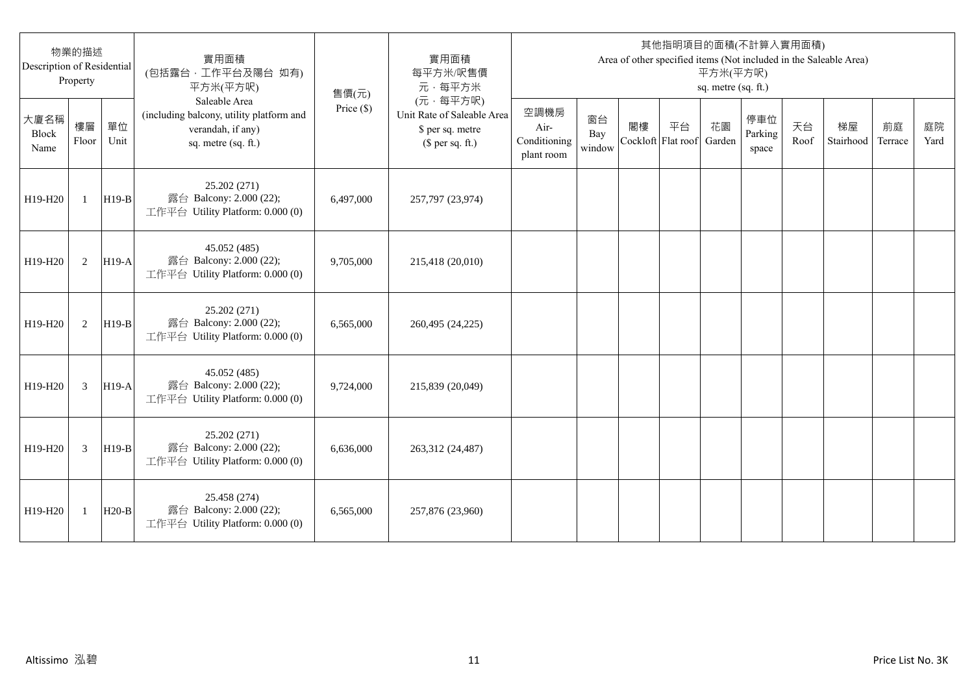| 物業的描述<br>Description of Residential<br>Property |              |            | 實用面積<br>(包括露台,工作平台及陽台 如有)<br>平方米(平方呎)<br>售價(元)                                                        |              | 實用面積<br>每平方米/呎售價<br>元·每平方米                                                     | 其他指明項目的面積(不計算入實用面積)<br>Area of other specified items (Not included in the Saleable Area)<br>平方米(平方呎)<br>sq. metre (sq. ft.) |                     |    |                          |              |                         |            |                 |               |            |
|-------------------------------------------------|--------------|------------|-------------------------------------------------------------------------------------------------------|--------------|--------------------------------------------------------------------------------|-----------------------------------------------------------------------------------------------------------------------------|---------------------|----|--------------------------|--------------|-------------------------|------------|-----------------|---------------|------------|
| 大廈名稱<br>Block<br>Name                           | 樓層<br>Floor  | 單位<br>Unit | Saleable Area<br>(including balcony, utility platform and<br>verandah, if any)<br>sq. metre (sq. ft.) | Price $(\$)$ | (元·每平方呎)<br>Unit Rate of Saleable Area<br>\$ per sq. metre<br>$$$ per sq. ft.) | 空調機房<br>Air-<br>Conditioning<br>plant room                                                                                  | 窗台<br>Bay<br>window | 閣樓 | 平台<br>Cockloft Flat roof | 花園<br>Garden | 停車位<br>Parking<br>space | 天台<br>Roof | 梯屋<br>Stairhood | 前庭<br>Terrace | 庭院<br>Yard |
| H19-H20                                         | $\mathbf{1}$ | $H19-B$    | 25.202 (271)<br>露台 Balcony: 2.000 (22);<br>工作平台 Utility Platform: 0.000 (0)                           | 6,497,000    | 257,797 (23,974)                                                               |                                                                                                                             |                     |    |                          |              |                         |            |                 |               |            |
| H19-H20                                         | 2            | $H19-A$    | 45.052 (485)<br>露台 Balcony: 2.000 (22);<br>工作平台 Utility Platform: 0.000 (0)                           | 9,705,000    | 215,418 (20,010)                                                               |                                                                                                                             |                     |    |                          |              |                         |            |                 |               |            |
| H19-H20                                         | 2            | $H19-B$    | 25.202 (271)<br>露台 Balcony: 2.000 (22);<br>工作平台 Utility Platform: 0.000 (0)                           | 6.565.000    | 260,495 (24,225)                                                               |                                                                                                                             |                     |    |                          |              |                         |            |                 |               |            |
| H19-H20                                         | 3            | $H19-A$    | 45.052 (485)<br>露台 Balcony: 2.000 (22);<br>工作平台 Utility Platform: 0.000 (0)                           | 9,724,000    | 215,839 (20,049)                                                               |                                                                                                                             |                     |    |                          |              |                         |            |                 |               |            |
| H19-H20                                         | 3            | $H19-B$    | 25.202 (271)<br>露台 Balcony: 2.000 (22);<br>工作平台 Utility Platform: 0.000 (0)                           | 6,636,000    | 263,312 (24,487)                                                               |                                                                                                                             |                     |    |                          |              |                         |            |                 |               |            |
| H19-H20                                         | 1            | $H20-B$    | 25.458 (274)<br>露台 Balcony: 2.000 (22);<br>工作平台 Utility Platform: 0.000 (0)                           | 6,565,000    | 257,876 (23,960)                                                               |                                                                                                                             |                     |    |                          |              |                         |            |                 |               |            |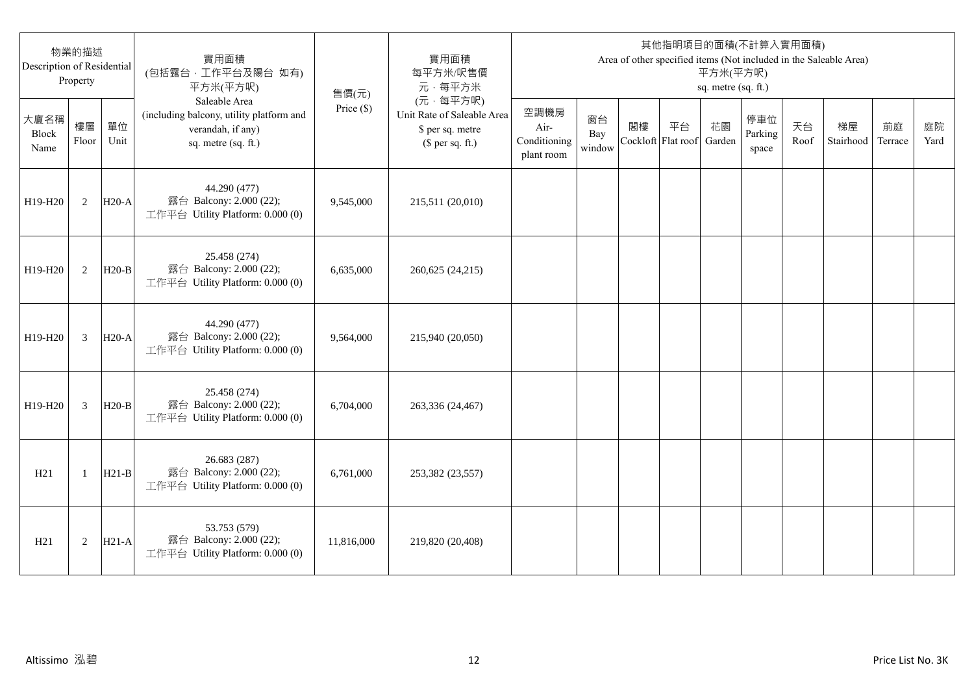| 物業的描述<br>Description of Residential<br>Property |                |            | 實用面積<br>(包括露台,工作平台及陽台 如有)<br>平方米(平方呎)                                                                 | 售價(元)        | 實用面積<br>每平方米/呎售價<br>元·每平方米                                                     | 其他指明項目的面積(不計算入實用面積)<br>Area of other specified items (Not included in the Saleable Area)<br>平方米(平方呎)<br>sq. metre (sq. ft.) |                     |                          |    |              |                         |            |                 |               |            |
|-------------------------------------------------|----------------|------------|-------------------------------------------------------------------------------------------------------|--------------|--------------------------------------------------------------------------------|-----------------------------------------------------------------------------------------------------------------------------|---------------------|--------------------------|----|--------------|-------------------------|------------|-----------------|---------------|------------|
| 大廈名稱<br>Block<br>Name                           | 樓層<br>Floor    | 單位<br>Unit | Saleable Area<br>(including balcony, utility platform and<br>verandah, if any)<br>sq. metre (sq. ft.) | Price $(\$)$ | (元·每平方呎)<br>Unit Rate of Saleable Area<br>\$ per sq. metre<br>$$$ per sq. ft.) | 空調機房<br>Air-<br>Conditioning<br>plant room                                                                                  | 窗台<br>Bay<br>window | 閣樓<br>Cockloft Flat roof | 平台 | 花園<br>Garden | 停車位<br>Parking<br>space | 天台<br>Roof | 梯屋<br>Stairhood | 前庭<br>Terrace | 庭院<br>Yard |
| H19-H20                                         | 2              | $H20-A$    | 44.290 (477)<br>露台 Balcony: 2.000 (22);<br>工作平台 Utility Platform: 0.000 (0)                           | 9,545,000    | 215,511 (20,010)                                                               |                                                                                                                             |                     |                          |    |              |                         |            |                 |               |            |
| H19-H20                                         | 2              | $H20-B$    | 25.458 (274)<br>露台 Balcony: 2.000 (22);<br>工作平台 Utility Platform: 0.000 (0)                           | 6,635,000    | 260,625 (24,215)                                                               |                                                                                                                             |                     |                          |    |              |                         |            |                 |               |            |
| H19-H20                                         | 3              | $H20-A$    | 44.290 (477)<br>露台 Balcony: 2.000 (22);<br>工作平台 Utility Platform: 0.000 (0)                           | 9,564,000    | 215,940 (20,050)                                                               |                                                                                                                             |                     |                          |    |              |                         |            |                 |               |            |
| H19-H20                                         | $\overline{3}$ | $H20-B$    | 25.458 (274)<br>露台 Balcony: 2.000 (22);<br>工作平台 Utility Platform: 0.000 (0)                           | 6,704,000    | 263,336 (24,467)                                                               |                                                                                                                             |                     |                          |    |              |                         |            |                 |               |            |
| H21                                             | $\mathbf{1}$   | $H21-B$    | 26.683 (287)<br>露台 Balcony: 2.000 (22);<br>工作平台 Utility Platform: 0.000 (0)                           | 6,761,000    | 253,382 (23,557)                                                               |                                                                                                                             |                     |                          |    |              |                         |            |                 |               |            |
| H21                                             | 2              | $H21-A$    | 53.753 (579)<br>露台 Balcony: 2.000 (22);<br>工作平台 Utility Platform: 0.000 (0)                           | 11,816,000   | 219,820 (20,408)                                                               |                                                                                                                             |                     |                          |    |              |                         |            |                 |               |            |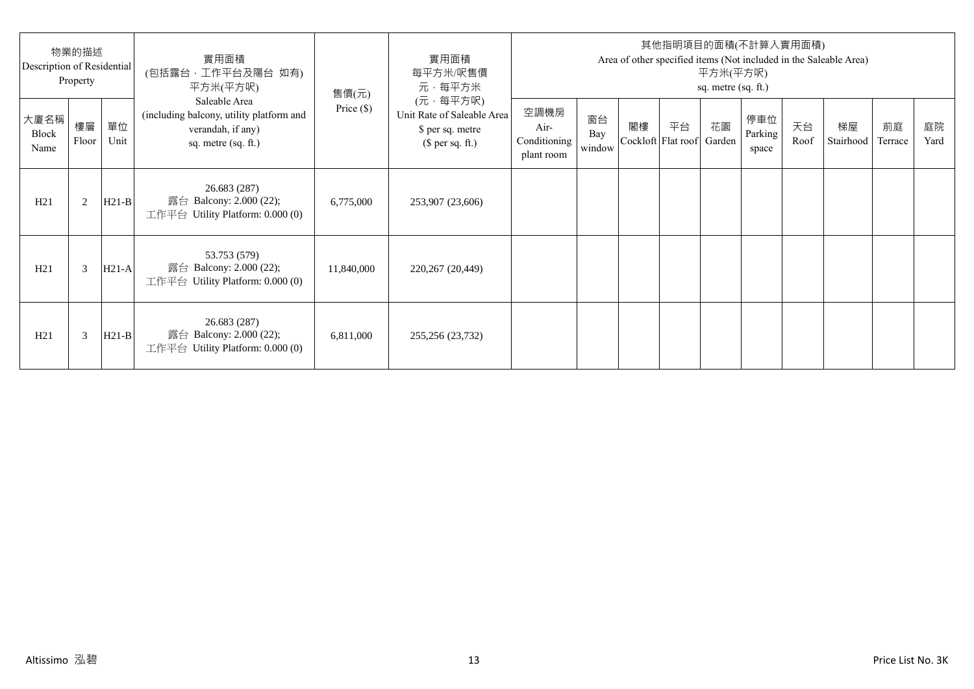| 物業的描述<br>Description of Residential<br>Property |             |            | 實用面積<br>(包括露台·工作平台及陽台 如有)<br>平方米(平方呎)                                                                 | 售價(元)        | 實用面積<br>每平方米/呎售價<br>元·每平方米                                                     | 其他指明項目的面積(不計算入實用面積)<br>Area of other specified items (Not included in the Saleable Area)<br>平方米(平方呎)<br>sq. metre (sq. ft.) |                     |    |                                 |    |                         |            |                 |               |            |
|-------------------------------------------------|-------------|------------|-------------------------------------------------------------------------------------------------------|--------------|--------------------------------------------------------------------------------|-----------------------------------------------------------------------------------------------------------------------------|---------------------|----|---------------------------------|----|-------------------------|------------|-----------------|---------------|------------|
| 大廈名稱<br>Block<br>Name                           | 樓層<br>Floor | 單位<br>Unit | Saleable Area<br>(including balcony, utility platform and<br>verandah, if any)<br>sq. metre (sq. ft.) | Price $(\$)$ | (元·每平方呎)<br>Unit Rate of Saleable Area<br>\$ per sq. metre<br>$$$ per sq. ft.) | 空調機房<br>Air-<br>Conditioning<br>plant room                                                                                  | 窗台<br>Bay<br>window | 閣樓 | 平台<br>Cockloft Flat roof Garden | 花園 | 停車位<br>Parking<br>space | 天台<br>Roof | 梯屋<br>Stairhood | 前庭<br>Terrace | 庭院<br>Yard |
| H21                                             | 2           | $H21-B$    | 26.683 (287)<br>露台 Balcony: 2.000 (22);<br>工作平台 Utility Platform: $0.000(0)$                          | 6,775,000    | 253,907 (23,606)                                                               |                                                                                                                             |                     |    |                                 |    |                         |            |                 |               |            |
| H21                                             | 3           | $H21-A$    | 53.753 (579)<br>露台 Balcony: 2.000 (22);<br>工作平台 Utility Platform: 0.000 (0)                           | 11,840,000   | 220,267 (20,449)                                                               |                                                                                                                             |                     |    |                                 |    |                         |            |                 |               |            |
| H21                                             | 3           | $H21-B$    | 26.683 (287)<br>露台 Balcony: 2.000 (22);<br>工作平台 Utility Platform: $0.000(0)$                          | 6,811,000    | 255,256 (23,732)                                                               |                                                                                                                             |                     |    |                                 |    |                         |            |                 |               |            |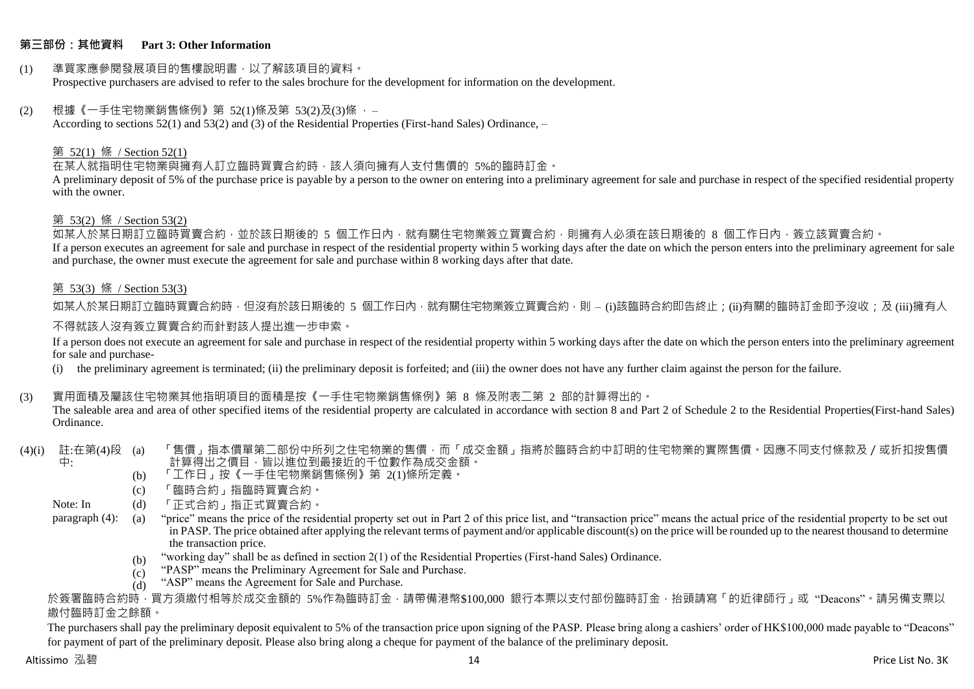# **第三部份:其他資料 Part 3: Other Information**

#### (1) 準買家應參閱發展項目的售樓說明書,以了解該項目的資料。 Prospective purchasers are advised to refer to the sales brochure for the development for information on the development.

### $(2)$  根據《一手住宅物業銷售條例》第 52(1)條及第 53(2)及(3)條,

According to sections 52(1) and 53(2) and (3) of the Residential Properties (First-hand Sales) Ordinance, –

## 第 52(1) 條 / Section 52(1)

在某人就指明住宅物業與擁有人訂立臨時買賣合約時,該人須向擁有人支付售價的 5%的臨時訂金。

A preliminary deposit of 5% of the purchase price is payable by a person to the owner on entering into a preliminary agreement for sale and purchase in respect of the specified residential property with the owner.

#### 第 53(2) 條 / Section 53(2)

如某人於某日期訂立臨時買賣合約,並於該日期後的 5 個工作日內,就有關住宅物業簽立買賣合約,則擁有人必須在該日期後的 8 個工作日內,簽立該買賣合約。 If a person executes an agreement for sale and purchase in respect of the residential property within 5 working days after the date on which the person enters into the preliminary agreement for sale and purchase, the owner must execute the agreement for sale and purchase within 8 working days after that date.

# 第 53(3) 條 / Section 53(3)

如某人於某日期訂立臨時買賣合約時,但沒有於該日期後的 5 個工作日內,就有關住宅物業簽立買賣合約,則 – (i)該臨時合約即告終止;(ii)有關的臨時訂金即予沒收;及 (iii)擁有人

# 不得就該人沒有簽立買賣合約而針對該人提出進一步申索。

If a person does not execute an agreement for sale and purchase in respect of the residential property within 5 working days after the date on which the person enters into the preliminary agreement for sale and purchase-

(i) the preliminary agreement is terminated; (ii) the preliminary deposit is forfeited; and (iii) the owner does not have any further claim against the person for the failure.

# (3) 實用面積及屬該住宅物業其他指明項目的面積是按《一手住宅物業銷售條例》第 8 條及附表二第 2 部的計算得出的。

The saleable area and area of other specified items of the residential property are calculated in accordance with section 8 and Part 2 of Schedule 2 to the Residential Properties(First-hand Sales) Ordinance.

#### (4)(i) 註:在第(4)段 中: 「售價」指本價單第二部份中所列之住宅物業的售價,而「成交金額」指將於臨時合約中訂明的住宅物業的實際售價。因應不同支付條款及/或折扣按售價 計算得出之價目,皆以進位到最接近的千位數作為成交金額。

- (b) 「工作日」按《一手住宅物業銷售條例》第 2(1)條所定義。
- (c) 「臨時合約」指臨時買賣合約。
- Note: In (d) 「正式合約」指正式買賣合約。

paragraph (4): (a) "price" means the price of the residential property set out in Part 2 of this price list, and "transaction price" means the actual price of the residential property to be set out in PASP. The price obtained after applying the relevant terms of payment and/or applicable discount(s) on the price will be rounded up to the nearest thousand to determine the transaction price.

- (b) "working day" shall be as defined in section 2(1) of the Residential Properties (First-hand Sales) Ordinance.
- $(c)$ "PASP" means the Preliminary Agreement for Sale and Purchase.
- $(d)$ "ASP" means the Agreement for Sale and Purchase.

於簽署臨時合約時,買方須繳付相等於成交金額的 5%作為臨時訂金,請帶備港幣\$100,000 銀行本票以支付部份臨時訂金,抬頭請寫「的近律師行」或"Deacons"。請另備支票以 繳付臨時訂金之餘額。

The purchasers shall pay the preliminary deposit equivalent to 5% of the transaction price upon signing of the PASP. Please bring along a cashiers' order of HK\$100,000 made payable to "Deacons" for payment of part of the preliminary deposit. Please also bring along a cheque for payment of the balance of the preliminary deposit.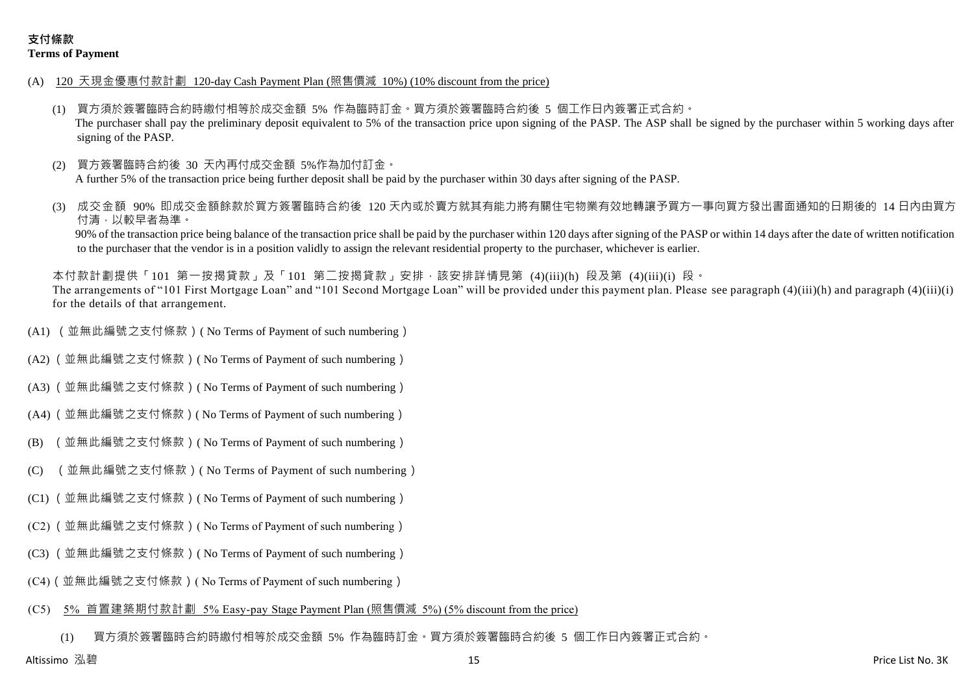- (A) 120 天現金優惠付款計劃 120-day Cash Payment Plan (照售價減 10%) (10% discount from the price)
	- (1) 買方須於簽署臨時合約時繳付相等於成交金額 5% 作為臨時訂金。買方須於簽署臨時合約後 5 個工作日內簽署正式合約。 The purchaser shall pay the preliminary deposit equivalent to 5% of the transaction price upon signing of the PASP. The ASP shall be signed by the purchaser within 5 working days after signing of the PASP.
	- 買方簽署臨時合約後 30 天內再付成交金額 5%作為加付訂金。 A further 5% of the transaction price being further deposit shall be paid by the purchaser within 30 days after signing of the PASP.
	- 成交金額 90% 即成交金額餘款於買方簽署臨時合約後 120 天内或於賣方就其有能力將有關住宅物業有效地轉讓予買方一事向買方發出書面通知的日期後的 14 日內由買方 付清,以較早者為準。

90% of the transaction price being balance of the transaction price shall be paid by the purchaser within 120 days after signing of the PASP or within 14 days after the date of written notification to the purchaser that the vendor is in a position validly to assign the relevant residential property to the purchaser, whichever is earlier.

本付款計劃提供「101 第一按揭貸款」及「101 第二按揭貸款」安排,該安排詳情見第 (4)(iii)(h) 段及第 (4)(iii)(i) 段。 The arrangements of "101 First Mortgage Loan" and "101 Second Mortgage Loan" will be provided under this payment plan. Please see paragraph (4)(iii)(h) and paragraph (4)(iii)(i) for the details of that arrangement.

- (A1) (並無此編號之支付條款)( No Terms of Payment of such numbering)
- (A2) (並無此編號之支付條款)( No Terms of Payment of such numbering)
- (A3) (並無此編號之支付條款)( No Terms of Payment of such numbering)
- (A4) (並無此編號之支付條款)( No Terms of Payment of such numbering)
- (B) (並無此編號之支付條款)( No Terms of Payment of such numbering)
- (C) (並無此編號之支付條款)( No Terms of Payment of such numbering)
- (C1) (並無此編號之支付條款)( No Terms of Payment of such numbering)
- (C2) (並無此編號之支付條款)( No Terms of Payment of such numbering)
- (C3) (並無此編號之支付條款)( No Terms of Payment of such numbering)
- (C4)(並無此編號之支付條款)( No Terms of Payment of such numbering)
- (C5) 5% 首置建築期付款計劃 5% Easy-pay Stage Payment Plan (照售價減 5%) (5% discount from the price)

(1) 買方須於簽署臨時合約時繳付相等於成交金額 5% 作為臨時訂金。買方須於簽署臨時合約後 5 個工作日內簽署正式合約。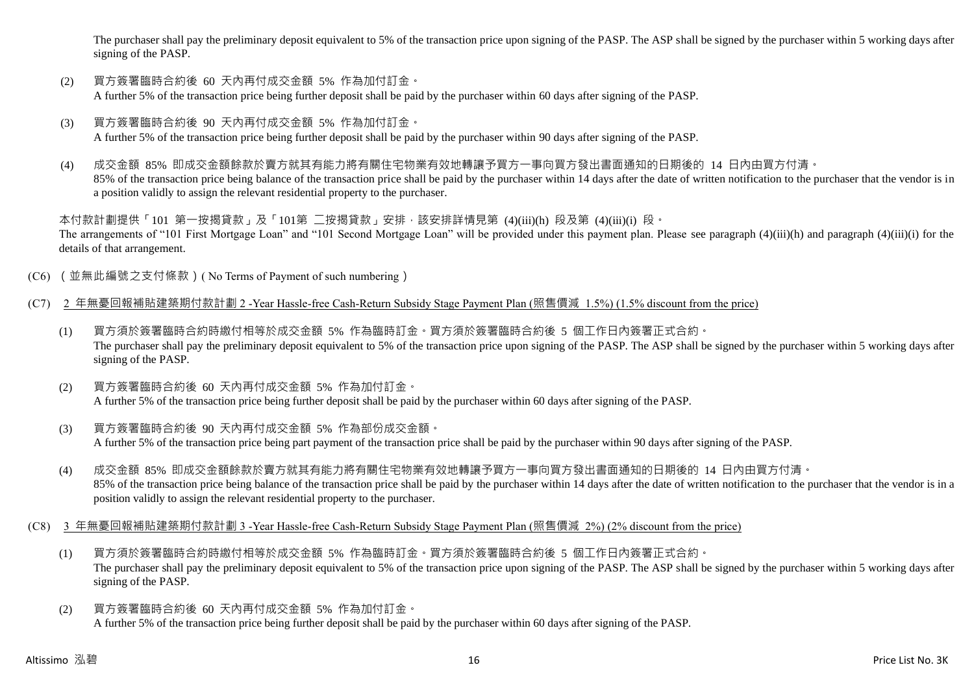The purchaser shall pay the preliminary deposit equivalent to 5% of the transaction price upon signing of the PASP. The ASP shall be signed by the purchaser within 5 working days after signing of the PASP.

- (2) 買方簽署臨時合約後 60 天內再付成交金額 5% 作為加付訂金。 A further 5% of the transaction price being further deposit shall be paid by the purchaser within 60 days after signing of the PASP.
- (3) 買方簽署臨時合約後 90 天內再付成交金額 5% 作為加付訂金。 A further 5% of the transaction price being further deposit shall be paid by the purchaser within 90 days after signing of the PASP.
- (4) 成交金額 85% 即成交金額餘款於賣方就其有能力將有關住宅物業有效地轉讓予買方一事向買方發出書面通知的日期後的 14 日內由買方付清。 85% of the transaction price being balance of the transaction price shall be paid by the purchaser within 14 days after the date of written notification to the purchaser that the vendor is in a position validly to assign the relevant residential property to the purchaser.

本付款計劃提供「101 第一按揭貸款」及「101第 二按揭貸款」安排,該安排詳情見第 (4)(iii)(h) 段及第 (4)(iii)(i) 段。 The arrangements of "101 First Mortgage Loan" and "101 Second Mortgage Loan" will be provided under this payment plan. Please see paragraph (4)(iii)(h) and paragraph (4)(iii)(i) for the details of that arrangement.

- (C6) (並無此編號之支付條款)( No Terms of Payment of such numbering)
- (C7) 2 年無憂回報補貼建築期付款計劃 2 -Year Hassle-free Cash-Return Subsidy Stage Payment Plan (照售價減 1.5%) (1.5% discount from the price)
	- (1) 買方須於簽署臨時合約時繳付相等於成交金額 5% 作為臨時訂金。買方須於簽署臨時合約後 5 個工作日內簽署正式合約。 The purchaser shall pay the preliminary deposit equivalent to 5% of the transaction price upon signing of the PASP. The ASP shall be signed by the purchaser within 5 working days after signing of the PASP.
	- (2) 買方簽署臨時合約後 60 天內再付成交金額 5% 作為加付訂金。 A further 5% of the transaction price being further deposit shall be paid by the purchaser within 60 days after signing of the PASP.
	- (3) 買方簽署臨時合約後 90 天內再付成交金額 5% 作為部份成交金額。 A further 5% of the transaction price being part payment of the transaction price shall be paid by the purchaser within 90 days after signing of the PASP.
	- (4) 成交金額 85% 即成交金額餘款於賣方就其有能力將有關住宅物業有效地轉讓予買方一事向買方發出書面通知的日期後的 14 日內由買方付清。 85% of the transaction price being balance of the transaction price shall be paid by the purchaser within 14 days after the date of written notification to the purchaser that the vendor is in a position validly to assign the relevant residential property to the purchaser.
- (C8) 3 年無憂回報補貼建築期付款計劃 3 -Year Hassle-free Cash-Return Subsidy Stage Payment Plan (照售價減 2%) (2% discount from the price)
	- (1) 買方須於簽署臨時合約時繳付相等於成交金額 5% 作為臨時訂金。買方須於簽署臨時合約後 5 個工作日內簽署正式合約。 The purchaser shall pay the preliminary deposit equivalent to 5% of the transaction price upon signing of the PASP. The ASP shall be signed by the purchaser within 5 working days after signing of the PASP.
	- (2) 買方簽署臨時合約後 60 天內再付成交金額 5% 作為加付訂金。 A further 5% of the transaction price being further deposit shall be paid by the purchaser within 60 days after signing of the PASP.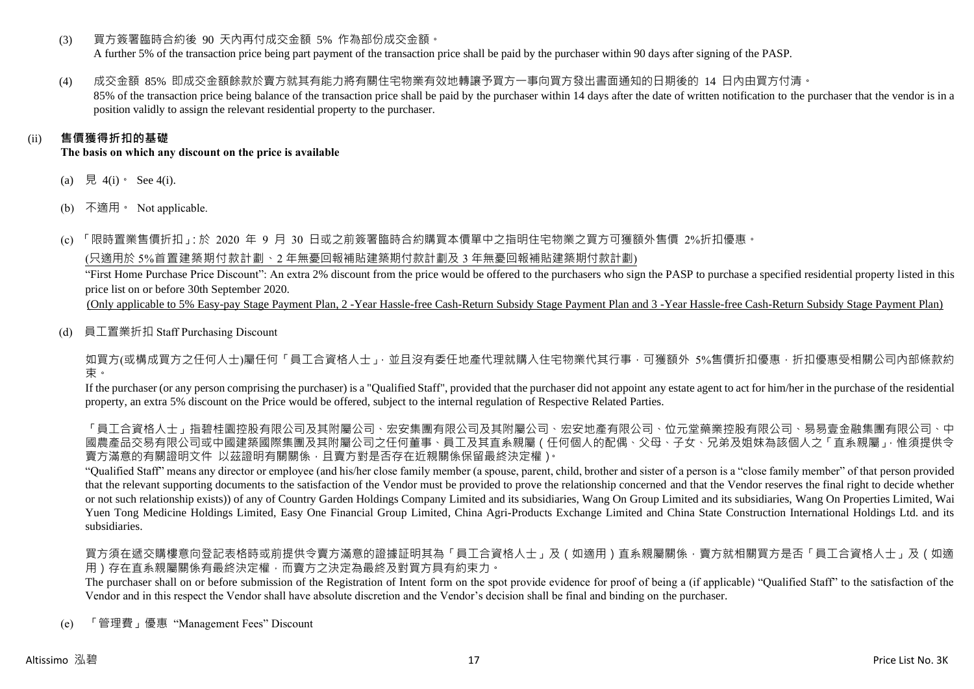(3) 買方簽署臨時合約後 90 天內再付成交金額 5% 作為部份成交金額。

A further 5% of the transaction price being part payment of the transaction price shall be paid by the purchaser within 90 days after signing of the PASP.

(4) 成交金額 85% 即成交金額餘款於賣方就其有能力將有關住宅物業有效地轉讓予買方一事向買方發出書面通知的日期後的 14 日內由買方付清。

85% of the transaction price being balance of the transaction price shall be paid by the purchaser within 14 days after the date of written notification to the purchaser that the vendor is in a position validly to assign the relevant residential property to the purchaser.

# (ii) **售價獲得折扣的基礎**

**The basis on which any discount on the price is available**

- (a) 見 4(i)  $\text{See } 4(i)$ .
- (b) 不適用。 Not applicable.

(c) 「限時置業售價折扣」:於 2020 年 9 月 30 日或之前簽署臨時合約購買本價單中之指明住宅物業之買方可獲額外售價 2%折扣優惠。

(只適用於 5%首置建築期付款計劃、2 年無憂回報補貼建築期付款計劃及 3 年無憂回報補貼建築期付款計劃)

"First Home Purchase Price Discount": An extra 2% discount from the price would be offered to the purchasers who sign the PASP to purchase a specified residential property listed in this price list on or before 30th September 2020.

(Only applicable to 5% Easy-pay Stage Payment Plan, 2 -Year Hassle-free Cash-Return Subsidy Stage Payment Plan and 3 -Year Hassle-free Cash-Return Subsidy Stage Payment Plan)

(d) 員工置業折扣 Staff Purchasing Discount

如買方(或構成買方之任何人士)屬任何「員工合資格人士」,並且沒有委任地產代理就購入住宅物業代其行事,可獲額外 5%售價折扣優惠,折扣優惠受相關公司內部條款約 束。

If the purchaser (or any person comprising the purchaser) is a "Qualified Staff", provided that the purchaser did not appoint any estate agent to act for him/her in the purchase of the residential property, an extra 5% discount on the Price would be offered, subject to the internal regulation of Respective Related Parties.

「員工合資格人士」指碧桂園控股有限公司及其國有限公司及其內屬公司、宏安地產有限公司、位元堂藥業控股有限公司、易易壹金融集團有限公司、中 國農產品交易有限公司或中國建築國際集團及其附屬公司之任何董事、員工及其直系親屬(任何個人的配偶、父母、子女、兄弟及姐妹為該個人之「直系親屬」,惟須提供令 賣方滿意的有關證明文件 以茲證明有關關係,且賣方對是否存在近親關係保留最終決定權)。

"Qualified Staff" means any director or employee (and his/her close family member (a spouse, parent, child, brother and sister of a person is a "close family member" of that person provided that the relevant supporting documents to the satisfaction of the Vendor must be provided to prove the relationship concerned and that the Vendor reserves the final right to decide whether or not such relationship exists)) of any of Country Garden Holdings Company Limited and its subsidiaries, Wang On Group Limited and its subsidiaries, Wang On Properties Limited, Wai Yuen Tong Medicine Holdings Limited, Easy One Financial Group Limited, China Agri-Products Exchange Limited and China State Construction International Holdings Ltd. and its subsidiaries.

買方須在遞交購樓意向登記表格時或前提供令賣方滿意的證據証明其為「員工合資格人士」及(如適用)直系親屬關係,賣方就相關買方是否「員工合資格人士」及(如適 用)存在直系親屬關係有最終決定權,而賣方之決定為最終及對買方具有約束力。

The purchaser shall on or before submission of the Registration of Intent form on the spot provide evidence for proof of being a (if applicable) "Qualified Staff" to the satisfaction of the Vendor and in this respect the Vendor shall have absolute discretion and the Vendor's decision shall be final and binding on the purchaser.

(e) 「管理費」優惠 "Management Fees" Discount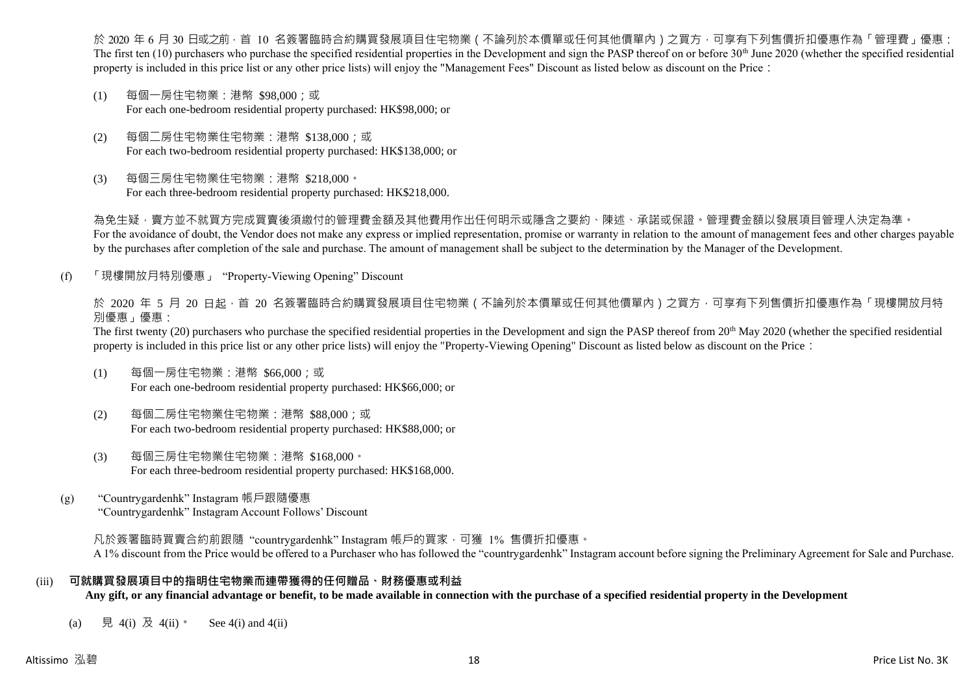於 2020 年 6 月 30 日或之前 · 首 10 名簽署臨時合約購買發展項目住宅物業(不論列於本價單或任何其他價單內)之買方 · 可享有下列售價折扣優惠作為「管理費」優惠: The first ten  $(10)$  purchasers who purchase the specified residential properties in the Development and sign the PASP thereof on or before 30<sup>th</sup> June 2020 (whether the specified residential property is included in this price list or any other price lists) will enjoy the "Management Fees" Discount as listed below as discount on the Price:

- (1) 每個一房住宅物業:港幣 \$98,000;或 For each one-bedroom residential property purchased: HK\$98,000; or
- (2) 每個二房住宅物業住宅物業:港幣 \$138,000;或 For each two-bedroom residential property purchased: HK\$138,000; or
- (3) 每個三房住宅物業住宅物業:港幣 \$218,000。 For each three-bedroom residential property purchased: HK\$218,000.

為免生疑,賣方並不就買方完成買賣後須繳付的管理費金額及其他費用作出任何明示或隱含之要約、陳述、承諾或保證。管理費金額以發展項目管理人決定為準。 For the avoidance of doubt, the Vendor does not make any express or implied representation, promise or warranty in relation to the amount of management fees and other charges payable by the purchases after completion of the sale and purchase. The amount of management shall be subject to the determination by the Manager of the Development.

(f) 「現樓開放月特別優惠」 "Property-Viewing Opening" Discount

於 2020 年 5 月 20 日起 ·首 20 名簽署臨時合約購買發展項目住宅物業 ( 不論列於本價單或任何其他價單內 ) 之買方 · 可享有下列售價折扣優惠作為「現樓開放月特 別優惠」優惠:

The first twenty (20) purchasers who purchase the specified residential properties in the Development and sign the PASP thereof from 20<sup>th</sup> May 2020 (whether the specified residential property is included in this price list or any other price lists) will enjoy the "Property-Viewing Opening" Discount as listed below as discount on the Price:

- (1) 每個一房住宅物業:港幣 \$66,000;或 For each one-bedroom residential property purchased: HK\$66,000; or
- (2) 每個二房住宅物業住宅物業:港幣 \$88,000;或 For each two-bedroom residential property purchased: HK\$88,000; or
- (3) 每個三房住宅物業住宅物業:港幣 \$168,000。 For each three-bedroom residential property purchased: HK\$168,000.
- (g) "Countrygardenhk" Instagram 帳戶跟隨優惠 "Countrygardenhk" Instagram Account Follows' Discount

凡於簽署臨時買賣合約前跟隨"countrygardenhk" Instagram 帳戶的買家,可獲 1% 售價折扣優惠。 A 1% discount from the Price would be offered to a Purchaser who has followed the "countrygardenhk" Instagram account before signing the Preliminary Agreement for Sale and Purchase.

# (iii) **可就購買發展項目中的指明住宅物業而連帶獲得的任何贈品、財務優惠或利益**

**Any gift, or any financial advantage or benefit, to be made available in connection with the purchase of a specified residential property in the Development**

(a) 見 4(i) 及 4(ii)。 See 4(i) and 4(ii)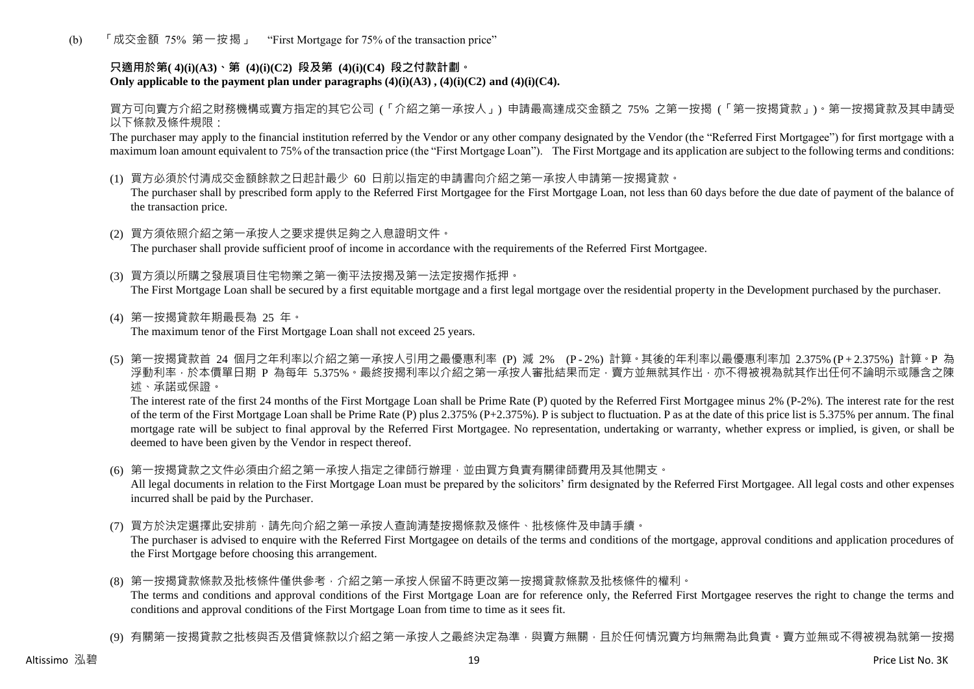(b) 「成交金額 75% 第一按揭」 "First Mortgage for 75% of the transaction price"

# **只適用於第( 4)(i)(A3)、第 (4)(i)(C2) 段及第 (4)(i)(C4) 段之付款計劃。** Only applicable to the payment plan under paragraphs  $(4)(i)(A3)$ ,  $(4)(i)(C2)$  and  $(4)(i)(C4)$ .

買方可向賣方介紹之財務機構或賣方指定的其它公司 (「介紹之第一承按人」) 申請最高達成交金額之 75% 之第一按揭 (「第一按揭貸款」)。第一按揭貸款及其申請受 以下條款及條件規限:

The purchaser may apply to the financial institution referred by the Vendor or any other company designated by the Vendor (the "Referred First Mortgagee") for first mortgage with a maximum loan amount equivalent to 75% of the transaction price (the "First Mortgage Loan"). The First Mortgage and its application are subject to the following terms and conditions:

(1) 買方必須於付清成交金額餘款之日起計最少 60 日前以指定的申請書向介紹之第一承按人申請第一按揭貸款。

The purchaser shall by prescribed form apply to the Referred First Mortgagee for the First Mortgage Loan, not less than 60 days before the due date of payment of the balance of the transaction price.

- (2) 買方須依照介紹之第一承按人之要求提供足夠之入息證明文件。 The purchaser shall provide sufficient proof of income in accordance with the requirements of the Referred First Mortgagee.
- (3) 買方須以所購之發展項目住宅物業之第一衡平法按揭及第一法定按揭作抵押。 The First Mortgage Loan shall be secured by a first equitable mortgage and a first legal mortgage over the residential property in the Development purchased by the purchaser.
- (4) 第一按揭貸款年期最長為 25 年。 The maximum tenor of the First Mortgage Loan shall not exceed 25 years.
- (5) 第一按揭貸款首 24 個月之年利率以介紹之第一承按人引用之最優惠利率 (P) 減 2% (P 2%) 計算。其後的年利率以最優惠利率加 2.375% (P + 2.375%) 計算。P 為 浮動利率,於本價單日期 P 為每年 5.375%。最終按揭利率以介紹之第一承按人審批結果而定,賣方並無就其作出,亦不得被視為就其作出任何不論明示或隱含之陳 述、承諾或保證。

The interest rate of the first 24 months of the First Mortgage Loan shall be Prime Rate (P) quoted by the Referred First Mortgagee minus 2% (P-2%). The interest rate for the rest of the term of the First Mortgage Loan shall be Prime Rate (P) plus 2.375% (P+2.375%). P is subject to fluctuation. P as at the date of this price list is 5.375% per annum. The final mortgage rate will be subject to final approval by the Referred First Mortgagee. No representation, undertaking or warranty, whether express or implied, is given, or shall be deemed to have been given by the Vendor in respect thereof.

(6) 第一按揭貸款之文件必須由介紹之第一承按人指定之律師行辦理,並由買方負責有關律師費用及其他開支。

All legal documents in relation to the First Mortgage Loan must be prepared by the solicitors' firm designated by the Referred First Mortgagee. All legal costs and other expenses incurred shall be paid by the Purchaser.

(7) 買方於決定選擇此安排前,請先向介紹之第一承按人查詢清楚按揭條款及條件、批核條件及申請手續。

The purchaser is advised to enquire with the Referred First Mortgagee on details of the terms and conditions of the mortgage, approval conditions and application procedures of the First Mortgage before choosing this arrangement.

- (8) 第一按揭貸款條款及批核條件僅供參考,介紹之第一承按人保留不時更改第一按揭貸款條款及批核條件的權利。 The terms and conditions and approval conditions of the First Mortgage Loan are for reference only, the Referred First Mortgagee reserves the right to change the terms and conditions and approval conditions of the First Mortgage Loan from time to time as it sees fit.
- (9) 有關第一按揭貸款之批核與否及借貸條款以介紹之第一承按人之最終決定為準,與賣方無關,目於任何情況賣方均無需為此負責。賣方並無或不得被視為就第一按揭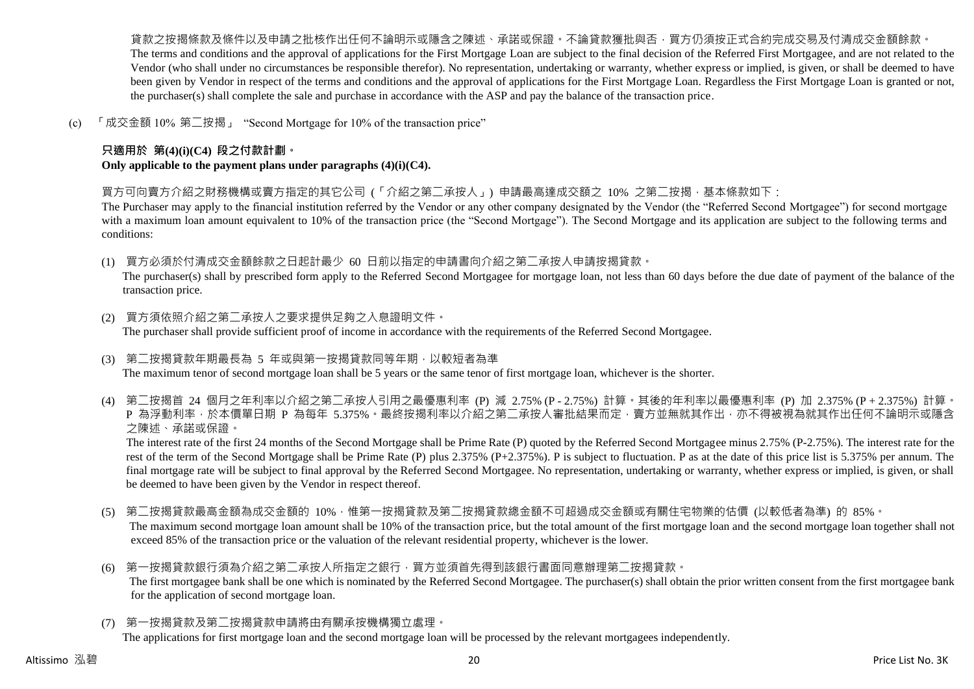貨款之按揭條款及條件以及申請之批核作出任何不論明示或隱含之陳述、承諾或保證。不論貸款獲批與否,買方仍須按正式合約完成交易及付清成交金額餘款。 The terms and conditions and the approval of applications for the First Mortgage Loan are subject to the final decision of the Referred First Mortgagee, and are not related to the Vendor (who shall under no circumstances be responsible therefor). No representation, undertaking or warranty, whether express or implied, is given, or shall be deemed to have been given by Vendor in respect of the terms and conditions and the approval of applications for the First Mortgage Loan. Regardless the First Mortgage Loan is granted or not, the purchaser(s) shall complete the sale and purchase in accordance with the ASP and pay the balance of the transaction price.

(c) 「成交金額 10% 第二按揭」 "Second Mortgage for 10% of the transaction price"

# **只適用於 第(4)(i)(C4) 段之付款計劃。**

**Only applicable to the payment plans under paragraphs (4)(i)(C4).**

買方可向賣方介紹之財務機構或賣方指定的其它公司 (「介紹之第二承按人」) 申請最高達成交額之 10% 之第二按揭,基本條款如下:

The Purchaser may apply to the financial institution referred by the Vendor or any other company designated by the Vendor (the "Referred Second Mortgagee") for second mortgage with a maximum loan amount equivalent to 10% of the transaction price (the "Second Mortgage"). The Second Mortgage and its application are subject to the following terms and conditions:

(1) 買方必須於付清成交金額餘款之日起計最少 60 日前以指定的申請書向介紹之第二承按人申請按揭貸款。

The purchaser(s) shall by prescribed form apply to the Referred Second Mortgagee for mortgage loan, not less than 60 days before the due date of payment of the balance of the transaction price.

- (2) 買方須依照介紹之第二承按人之要求提供足夠之入息證明文件。 The purchaser shall provide sufficient proof of income in accordance with the requirements of the Referred Second Mortgagee.
- (3) 第二按揭貸款年期最長為 5 年或與第一按揭貸款同等年期,以較短者為準 The maximum tenor of second mortgage loan shall be 5 years or the same tenor of first mortgage loan, whichever is the shorter.
- (4) 第二按揭首 24 個月之年利率以介紹之第二承按人引用之最優惠利率 (P) 減 2.75% (P 2.75%) 計算。其後的年利率以最優惠利率 (P) 加 2.375% (P + 2.375%) 計算。 P 為浮動利率,於本價單日期 P 為每年 5.375%。最終按揭利率以介紹之第二承按人審批結果而定,賣方並無就其作出,亦不得被視為就其作出任何不論明示或隱含 之陳述、承諾或保證。

The interest rate of the first 24 months of the Second Mortgage shall be Prime Rate (P) quoted by the Referred Second Mortgagee minus 2.75% (P-2.75%). The interest rate for the rest of the term of the Second Mortgage shall be Prime Rate (P) plus 2.375% (P+2.375%). P is subject to fluctuation. P as at the date of this price list is 5.375% per annum. The final mortgage rate will be subject to final approval by the Referred Second Mortgagee. No representation, undertaking or warranty, whether express or implied, is given, or shall be deemed to have been given by the Vendor in respect thereof.

- (5) 第二按揭貸款最高金額為成交金額的 10%,惟第一按揭貸款及第二按揭貸款總金額不可超過成交金額或有關住宅物業的估價 (以較低者為準) 的 85%。 The maximum second mortgage loan amount shall be 10% of the transaction price, but the total amount of the first mortgage loan and the second mortgage loan together shall not exceed 85% of the transaction price or the valuation of the relevant residential property, whichever is the lower.
- (6) 第一按揭貸款銀行須為介紹之第二承按人所指定之銀行,買方並須首先得到該銀行書面同意辦理第二按揭貸款。 The first mortgagee bank shall be one which is nominated by the Referred Second Mortgagee. The purchaser(s) shall obtain the prior written consent from the first mortgagee bank for the application of second mortgage loan.
- (7) 第一按揭貸款及第二按揭貸款申請將由有關承按機構獨立處理。

The applications for first mortgage loan and the second mortgage loan will be processed by the relevant mortgagees independently.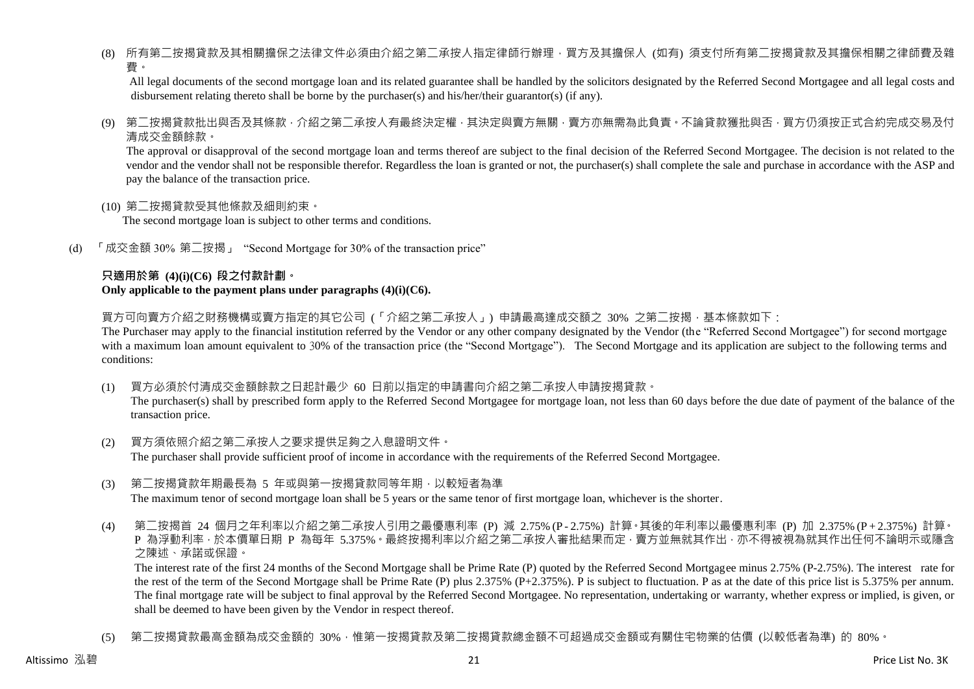(8) 所有第二按揭貸款及其相關擔保之法律文件必須由介紹之第二承按人指定律師行辦理,買方及其擔保人 (如有) 須支付所有第二按揭貸款及其擔保相關之律師費及雜 費。

All legal documents of the second mortgage loan and its related guarantee shall be handled by the solicitors designated by the Referred Second Mortgagee and all legal costs and disbursement relating thereto shall be borne by the purchaser(s) and his/her/their guarantor(s) (if any).

(9) 第二按揭貸款批出與否及其條款,介紹之第二承按人有最終決定權,其決定與賣方無關,賣方亦無需為此負責。不論貸款獲批與否,買方仍須按正式合約完成交易及付 清成交金額餘款。

The approval or disapproval of the second mortgage loan and terms thereof are subject to the final decision of the Referred Second Mortgagee. The decision is not related to the vendor and the vendor shall not be responsible therefor. Regardless the loan is granted or not, the purchaser(s) shall complete the sale and purchase in accordance with the ASP and pay the balance of the transaction price.

(10) 第二按揭貸款受其他條款及細則約束。

The second mortgage loan is subject to other terms and conditions.

(d) 「成交金額 30% 第二按揭」 "Second Mortgage for 30% of the transaction price"

### **只適用於第 (4)(i)(C6) 段之付款計劃。 Only applicable to the payment plans under paragraphs (4)(i)(C6).**

買方可向賣方介紹之財務機構或賣方指定的其它公司 (「介紹之第二承按人」) 申請最高達成交額之 30% 之第二按揭 · 基本條款如下:

The Purchaser may apply to the financial institution referred by the Vendor or any other company designated by the Vendor (the "Referred Second Mortgagee") for second mortgage with a maximum loan amount equivalent to 30% of the transaction price (the "Second Mortgage"). The Second Mortgage and its application are subject to the following terms and conditions:

(1) 買方必須於付清成交金額餘款之日起計最少 60 日前以指定的申請書向介紹之第二承按人申請按揭貸款。

The purchaser(s) shall by prescribed form apply to the Referred Second Mortgagee for mortgage loan, not less than 60 days before the due date of payment of the balance of the transaction price.

- (2) 買方須依照介紹之第二承按人之要求提供足夠之入息證明文件。 The purchaser shall provide sufficient proof of income in accordance with the requirements of the Referred Second Mortgagee.
- (3) 第二按揭貸款年期最長為 5 年或與第一按揭貸款同等年期,以較短者為準 The maximum tenor of second mortgage loan shall be 5 years or the same tenor of first mortgage loan, whichever is the shorter.
- (4) 第二按揭首 24 個月之年利率以介紹之第二承按人引用之最優惠利率 (P) 減 2.75% (P 2.75%) 計算。其後的年利率以最優惠利率 (P) 加 2.375% (P + 2.375%) 計算。 P 為浮動利率,於本價單日期 P 為每年 5.375%。最終按揭利率以介紹之第二承按人審批結果而定,賣方並無就其作出,亦不得被視為就其作出任何不論明示或隱含 之陳述、承諾或保證。

The interest rate of the first 24 months of the Second Mortgage shall be Prime Rate (P) quoted by the Referred Second Mortgagee minus 2.75% (P-2.75%). The interest rate for the rest of the term of the Second Mortgage shall be Prime Rate (P) plus 2.375% (P+2.375%). P is subject to fluctuation. P as at the date of this price list is 5.375% per annum. The final mortgage rate will be subject to final approval by the Referred Second Mortgagee. No representation, undertaking or warranty, whether express or implied, is given, or shall be deemed to have been given by the Vendor in respect thereof.

(5) 第二按揭貸款最高金額為成交金額的 30%,惟第一按揭貸款及第二按揭貸款總金額不可超過成交金額或有關住宅物業的估價 (以較低者為準) 的 80%。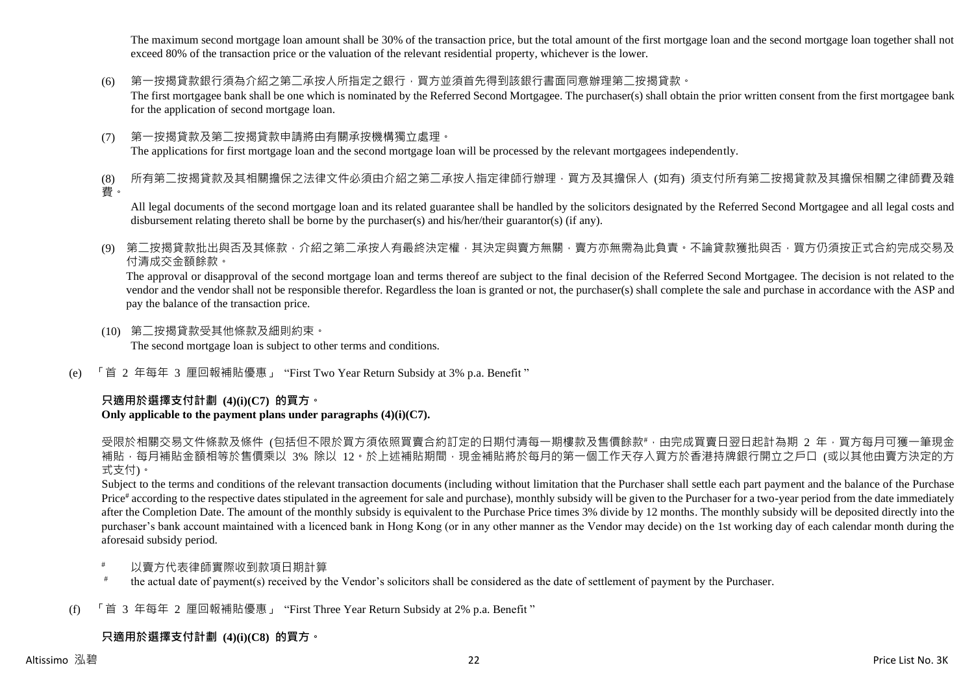The maximum second mortgage loan amount shall be 30% of the transaction price, but the total amount of the first mortgage loan and the second mortgage loan together shall not exceed 80% of the transaction price or the valuation of the relevant residential property, whichever is the lower.

(6) 第一按揭貸款銀行須為介紹之第二承按人所指定之銀行,買方並須首先得到該銀行書面同意辦理第二按揭貸款。

The first mortgagee bank shall be one which is nominated by the Referred Second Mortgagee. The purchaser(s) shall obtain the prior written consent from the first mortgagee bank for the application of second mortgage loan.

(7) 第一按揭貸款及第二按揭貸款申請將由有關承按機構獨立處理。 The applications for first mortgage loan and the second mortgage loan will be processed by the relevant mortgagees independently.

(8) 所有第二按揭貸款及其相關擔保之法律文件必須由介紹之第二承按人指定律師行辦理,買方及其擔保人 (如有) 須支付所有第二按揭貸款及其擔保相關之律師費及雜 費。

All legal documents of the second mortgage loan and its related guarantee shall be handled by the solicitors designated by the Referred Second Mortgagee and all legal costs and disbursement relating thereto shall be borne by the purchaser(s) and his/her/their guarantor(s) (if any).

(9) 第二按揭貸款批出與否及其條款,介紹之第二承按人有最終決定權,其決定與賣方無關,賣方亦無需為此負責。不論貸款獲批與否,買方仍須按正式合約完成交易及 付清成交金額餘款。

The approval or disapproval of the second mortgage loan and terms thereof are subject to the final decision of the Referred Second Mortgagee. The decision is not related to the vendor and the vendor shall not be responsible therefor. Regardless the loan is granted or not, the purchaser(s) shall complete the sale and purchase in accordance with the ASP and pay the balance of the transaction price.

- (10) 第二按揭貸款受其他條款及細則約束。 The second mortgage loan is subject to other terms and conditions.
- (e) 「首 2 年每年 3 厘回報補貼優惠」 "First Two Year Return Subsidy at 3% p.a. Benefit "

# **只適用於選擇支付計劃 (4)(i)(C7) 的買方。**

# **Only applicable to the payment plans under paragraphs (4)(i)(C7).**

受限於相關交易文件條款及條件 (包括但不限於買方須依照買賣合約訂定的日期付清每一期樓款及售價餘款#,由完成買賣日翌日起計為期 2 年,買方每月可獲一筆現金 補貼,每月補貼金額相等於售價乘以 3% 除以 12。於上述補貼期間,現金補貼將於每月的第一個工作天存入買方於香港持牌銀行開立之戶口 (或以其他由賣方決定的方 式支付)。

Subject to the terms and conditions of the relevant transaction documents (including without limitation that the Purchaser shall settle each part payment and the balance of the Purchase Price<sup>#</sup> according to the respective dates stipulated in the agreement for sale and purchase), monthly subsidy will be given to the Purchaser for a two-year period from the date immediately after the Completion Date. The amount of the monthly subsidy is equivalent to the Purchase Price times 3% divide by 12 months. The monthly subsidy will be deposited directly into the purchaser's bank account maintained with a licenced bank in Hong Kong (or in any other manner as the Vendor may decide) on the 1st working day of each calendar month during the aforesaid subsidy period.

- 以賣方代表律師實際收到款項日期計算
- # the actual date of payment(s) received by the Vendor's solicitors shall be considered as the date of settlement of payment by the Purchaser.
- (f) 「首 3 年每年 2 厘回報補貼優惠」 "First Three Year Return Subsidy at 2% p.a. Benefit "

# **只適用於選擇支付計劃 (4)(i)(C8) 的買方。**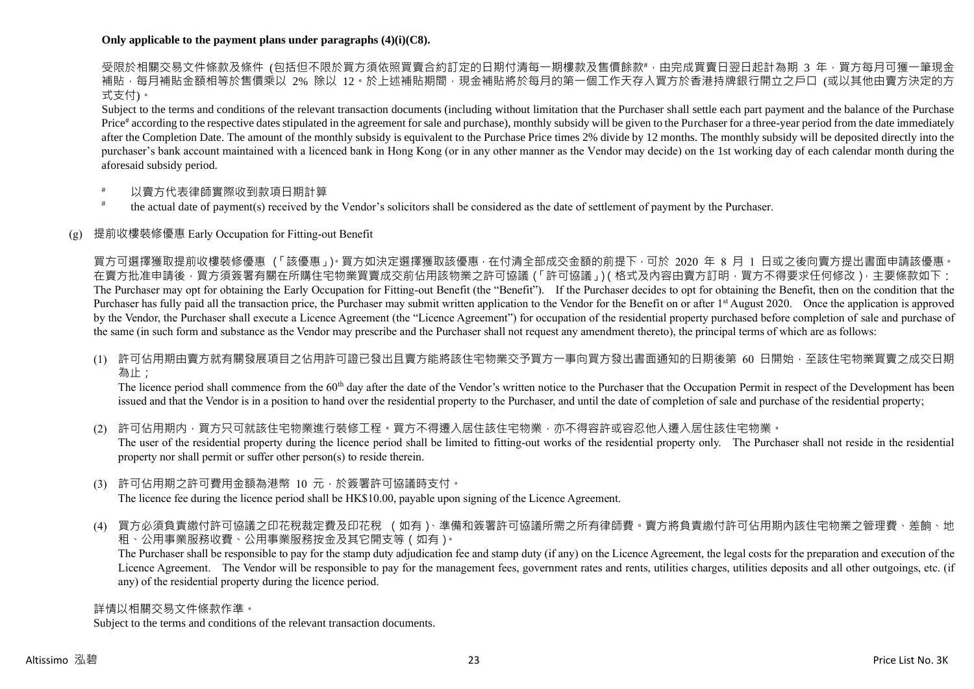## **Only applicable to the payment plans under paragraphs (4)(i)(C8).**

受限於相關交易文件條款及條件 (包括但不限於買方須依照買賣合約訂定的日期付清每一期樓款及售價餘款#,由完成買賣日翌日起計為期 3 年,買方每月可獲一筆現金 補貼,每月補貼金額相等於售價乘以 2% 除以 12。於上述補貼期間,現金補貼將於每月的第一個工作天存入買方於香港持牌銀行開立之戶口 (或以其他由賣方決定的方 式支付)。

Subject to the terms and conditions of the relevant transaction documents (including without limitation that the Purchaser shall settle each part payment and the balance of the Purchase Price<sup>#</sup> according to the respective dates stipulated in the agreement for sale and purchase), monthly subsidy will be given to the Purchaser for a three-year period from the date immediately after the Completion Date. The amount of the monthly subsidy is equivalent to the Purchase Price times 2% divide by 12 months. The monthly subsidy will be deposited directly into the purchaser's bank account maintained with a licenced bank in Hong Kong (or in any other manner as the Vendor may decide) on the 1st working day of each calendar month during the aforesaid subsidy period.

- 以賣方代表律師實際收到款項日期計算
- # the actual date of payment(s) received by the Vendor's solicitors shall be considered as the date of settlement of payment by the Purchaser.

# (g) 提前收樓裝修優惠 Early Occupation for Fitting-out Benefit

買方可選擇獲取提前收樓裝修優惠 (「該優惠」)。買方如決定選擇獲取該優惠,在付清全部成交金額的前提下,可於 2020 年 8 月 1 日或之後向賣方提出書面申請該優惠。 在賣方批准申請後,買方須簽署有關在所購住宅物業買賣成交前佔用該物業之許可協議(「許可協議」)(格式及內容由賣方訂明,買方不得要求任何修改),主要條款如下: The Purchaser may opt for obtaining the Early Occupation for Fitting-out Benefit (the "Benefit"). If the Purchaser decides to opt for obtaining the Benefit, then on the condition that the Purchaser has fully paid all the transaction price, the Purchaser may submit written application to the Vendor for the Benefit on or after 1<sup>st</sup> August 2020. Once the application is approved by the Vendor, the Purchaser shall execute a Licence Agreement (the "Licence Agreement") for occupation of the residential property purchased before completion of sale and purchase of the same (in such form and substance as the Vendor may prescribe and the Purchaser shall not request any amendment thereto), the principal terms of which are as follows:

(1) 許可佔用期由賣方就有關發展項目之佔用許可證已發出且賣方能將該住宅物業交予買方一事向買方發出書面通知的日期後第 60 日開始,至該住宅物業買賣之成交日期 為止;

The licence period shall commence from the 60<sup>th</sup> day after the date of the Vendor's written notice to the Purchaser that the Occupation Permit in respect of the Development has been issued and that the Vendor is in a position to hand over the residential property to the Purchaser, and until the date of completion of sale and purchase of the residential property;

(2) 許可佔用期内,買方只可就該住宅物業進行裝修工程。買方不得遷入居住該住宅物業,亦不得容許或容忍他人遷入居住該住宅物業。 The user of the residential property during the licence period shall be limited to fitting-out works of the residential property only. The Purchaser shall not reside in the residential property nor shall permit or suffer other person(s) to reside therein.

- (3) 許可佔用期之許可費用金額為港幣 10 元,於簽署許可協議時支付。 The licence fee during the licence period shall be HK\$10.00, payable upon signing of the Licence Agreement.
- (4) 買方必須負責繳付許可協議之印花稅裁定費及印花稅 (如有)、準備和簽署許可協議所需之所有律師費。賣方將負責繳付許可佔用期內該住宅物業之管理費、差餉、地 租、公用事業服務收費、公用事業服務按金及其它開支等(如有)。

The Purchaser shall be responsible to pay for the stamp duty adjudication fee and stamp duty (if any) on the Licence Agreement, the legal costs for the preparation and execution of the Licence Agreement. The Vendor will be responsible to pay for the management fees, government rates and rents, utilities charges, utilities deposits and all other outgoings, etc. (if any) of the residential property during the licence period.

詳情以相關交易文件條款作準。

Subject to the terms and conditions of the relevant transaction documents.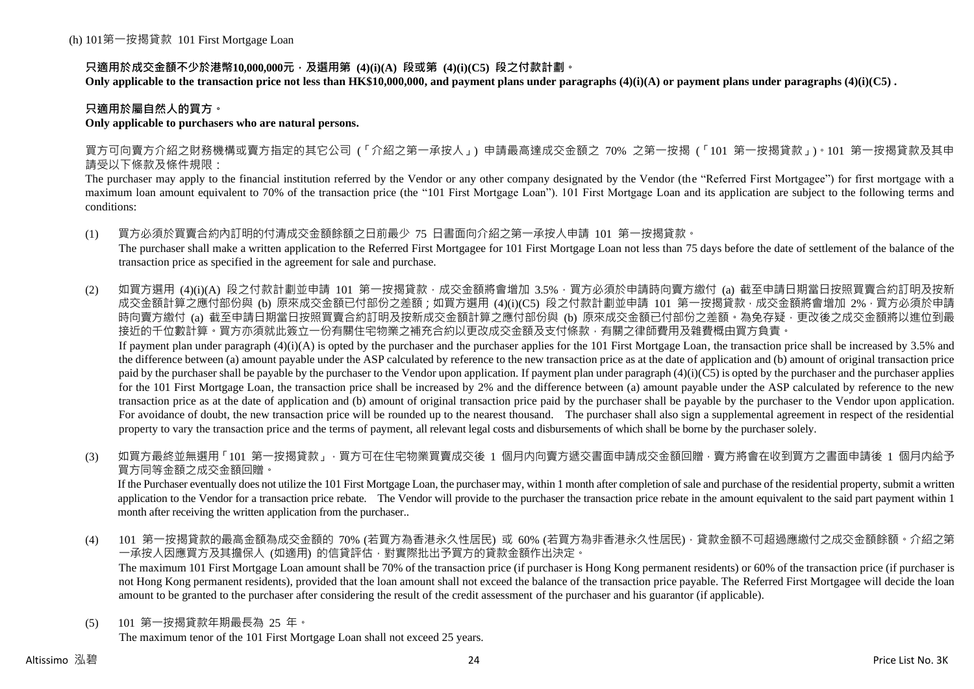# **只適用於成交金額不少於港幣10,000,000元,及選用第 (4)(i)(A) 段或第 (4)(i)(C5) 段之付款計劃。**

**Only applicable to the transaction price not less than HK\$10,000,000, and payment plans under paragraphs (4)(i)(A) or payment plans under paragraphs (4)(i)(C5) .**

# **只適用於屬自然人的買方。**

# **Only applicable to purchasers who are natural persons.**

買方可向賣方介紹之財務機構或賣方指定的其它公司 (「介紹之第一承按人」) 申請最高達成交金額之 70% 之第一按揭 (「101 第一按揭貸款」)。101 第一按揭貸款及其申 請受以下條款及條件規限:

The purchaser may apply to the financial institution referred by the Vendor or any other company designated by the Vendor (the "Referred First Mortgagee") for first mortgage with a maximum loan amount equivalent to 70% of the transaction price (the "101 First Mortgage Loan"). 101 First Mortgage Loan and its application are subject to the following terms and conditions:

(1) 買方必須於買賣合約內訂明的付清成交金額餘額之日前最少 75 日書面向介紹之第一承按人申請 101 第一按揭貸款。

The purchaser shall make a written application to the Referred First Mortgagee for 101 First Mortgage Loan not less than 75 days before the date of settlement of the balance of the transaction price as specified in the agreement for sale and purchase.

(2) 如買方選用 (4)(i)(A) 段之付款計劃並申請 101 第一按揭貸款,成交金額將會增加 3.5%,買方必須於申請時向賣方繳付 (a) 截至申請日期當日按照買賣合約訂明及按新 成交金額計算之應付部份與 (b) 原來成交金額已付部份之差額;如買方選用 (4)(i)(C5) 段之付款計劃並申請 101 第一按揭貸款,成交金額將會增加 2%,買方必須於申請 時向賣方繳付 (a) 截至申請日期當日按照買賣合約訂明及按新成交金額計算之應付部份與 (b) 原來成交金額已付部份之差額。為免存疑,更改後之成交金額將以進位到最 接近的千位數計算。買方亦須就此簽立一份有關住宅物業之補充合約以更改成交金額及支付條款,有關之律師費用及雜費概由買方負責。 If payment plan under paragraph  $(4)(i)(A)$  is opted by the purchaser and the purchaser applies for the 101 First Mortgage Loan, the transaction price shall be increased by 3.5% and

the difference between (a) amount payable under the ASP calculated by reference to the new transaction price as at the date of application and (b) amount of original transaction price paid by the purchaser shall be payable by the purchaser to the Vendor upon application. If payment plan under paragraph  $(4)(i)(C5)$  is opted by the purchaser and the purchaser applies for the 101 First Mortgage Loan, the transaction price shall be increased by 2% and the difference between (a) amount payable under the ASP calculated by reference to the new transaction price as at the date of application and (b) amount of original transaction price paid by the purchaser shall be payable by the purchaser to the Vendor upon application. For avoidance of doubt, the new transaction price will be rounded up to the nearest thousand. The purchaser shall also sign a supplemental agreement in respect of the residential property to vary the transaction price and the terms of payment, all relevant legal costs and disbursements of which shall be borne by the purchaser solely.

(3) 如買方最終並無選用「101 第一按揭貸款」,買方可在住宅物業買賣成交後 1 個月内向賣方遞交書面申請成交金額回贈,賣方將會在收到買方之書面申請後 1 個月内給予 買方同等金額之成交金額回贈。

If the Purchaser eventually does not utilize the 101 First Mortgage Loan, the purchaser may, within 1 month after completion of sale and purchase of the residential property, submit a written application to the Vendor for a transaction price rebate. The Vendor will provide to the purchaser the transaction price rebate in the amount equivalent to the said part payment within 1 month after receiving the written application from the purchaser..

(4) 101 第一按揭貸款的最高金額為成交金額的 70% (若買方為香港永久性居民) 或 60% (若買方為非香港永久性居民),貸款金額不可超過應繳付之成交金額餘額。介紹之第 一承按人因應買方及其擔保人 (如適用) 的信貸評估,對實際批出予買方的貸款金額作出決定。

The maximum 101 First Mortgage Loan amount shall be 70% of the transaction price (if purchaser is Hong Kong permanent residents) or 60% of the transaction price (if purchaser is not Hong Kong permanent residents), provided that the loan amount shall not exceed the balance of the transaction price payable. The Referred First Mortgagee will decide the loan amount to be granted to the purchaser after considering the result of the credit assessment of the purchaser and his guarantor (if applicable).

(5) 101 第一按揭貸款年期最長為 25 年。

The maximum tenor of the 101 First Mortgage Loan shall not exceed 25 years.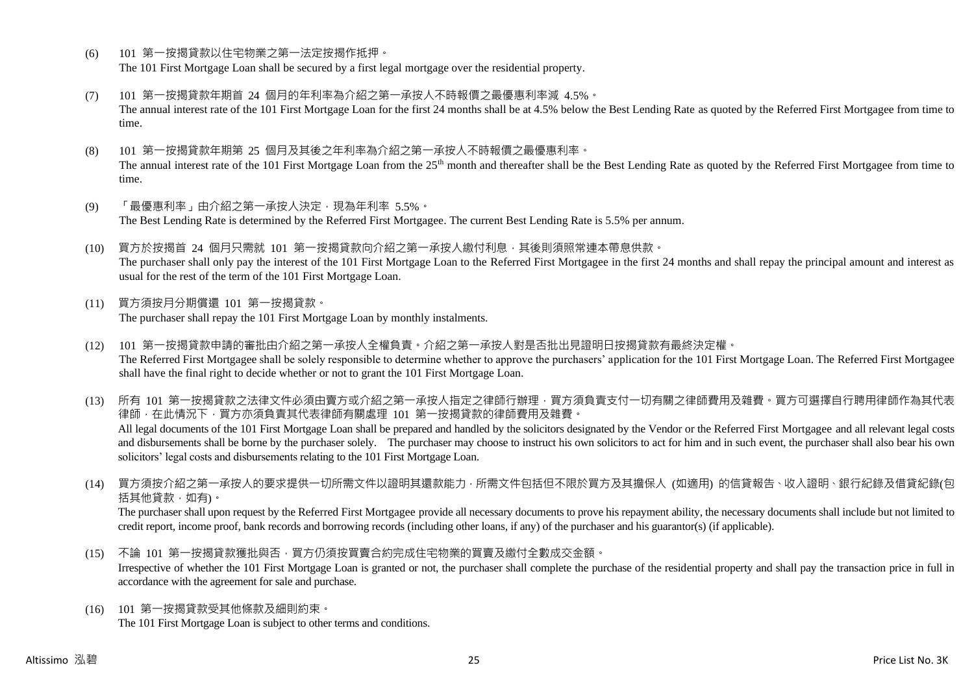- (6) 101 第一按揭貸款以住宅物業之第一法定按揭作抵押。 The 101 First Mortgage Loan shall be secured by a first legal mortgage over the residential property.
- (7) 101 第一按揭貸款年期首 24 個月的年利率為介紹之第一承按人不時報價之最優惠利率減 4.5%。 The annual interest rate of the 101 First Mortgage Loan for the first 24 months shall be at 4.5% below the Best Lending Rate as quoted by the Referred First Mortgagee from time to time.
- (8) 101 第一按揭貸款年期第 25 個月及其後之年利率為介紹之第一承按人不時報價之最優惠利率。 The annual interest rate of the 101 First Mortgage Loan from the 25<sup>th</sup> month and thereafter shall be the Best Lending Rate as quoted by the Referred First Mortgagee from time to time.
- (9) 「最優惠利率」由介紹之第一承按人決定,現為年利率 5.5%。 The Best Lending Rate is determined by the Referred First Mortgagee. The current Best Lending Rate is 5.5% per annum.
- (10) 買方於按揭首 24 個月只需就 101 第一按揭貸款向介紹之第一承按人繳付利息,其後則須照常連本帶息供款。 The purchaser shall only pay the interest of the 101 First Mortgage Loan to the Referred First Mortgagee in the first 24 months and shall repay the principal amount and interest as usual for the rest of the term of the 101 First Mortgage Loan.
- (11) 買方須按月分期償還 101 第一按揭貸款。 The purchaser shall repay the 101 First Mortgage Loan by monthly instalments.
- (12) 101 第一按揭貸款申請的審批由介紹之第一承按人全權負責。介紹之第一承按人對是否批出見證明日按揭貸款有最終決定權。 The Referred First Mortgagee shall be solely responsible to determine whether to approve the purchasers' application for the 101 First Mortgage Loan. The Referred First Mortgagee shall have the final right to decide whether or not to grant the 101 First Mortgage Loan.

(13) 所有 101 第一按揭貸款之法律文件必須由賣方或介紹之第一承按人指定之律師行辦理,買方須負責支付一切有關之律師費用及雜費。買方可選擇自行聘用律師作為其代表 律師,在此情況下,買方亦須負責其代表律師有關處理 101 第一按揭貸款的律師費用及雜費。 All legal documents of the 101 First Mortgage Loan shall be prepared and handled by the solicitors designated by the Vendor or the Referred First Mortgagee and all relevant legal costs and disbursements shall be borne by the purchaser solely. The purchaser may choose to instruct his own solicitors to act for him and in such event, the purchaser shall also bear his own solicitors' legal costs and disbursements relating to the 101 First Mortgage Loan.

(14) 買方須按介紹之第一承按人的要求提供一切所需文件以證明其還款能力,所需文件包括但不限於買方及其擔保人 (如適用) 的信貸報告、收入證明、銀行紀錄及借貸紀錄(包 括其他貸款,如有)。

The purchaser shall upon request by the Referred First Mortgagee provide all necessary documents to prove his repayment ability, the necessary documents shall include but not limited to credit report, income proof, bank records and borrowing records (including other loans, if any) of the purchaser and his guarantor(s) (if applicable).

- (15) 不論 101 第一按揭貸款獲批與否,買方仍須按買賣合約完成住宅物業的買賣及繳付全數成交金額。 Irrespective of whether the 101 First Mortgage Loan is granted or not, the purchaser shall complete the purchase of the residential property and shall pay the transaction price in full in accordance with the agreement for sale and purchase.
- (16) 101 第一按揭貸款受其他條款及細則約束。 The 101 First Mortgage Loan is subject to other terms and conditions.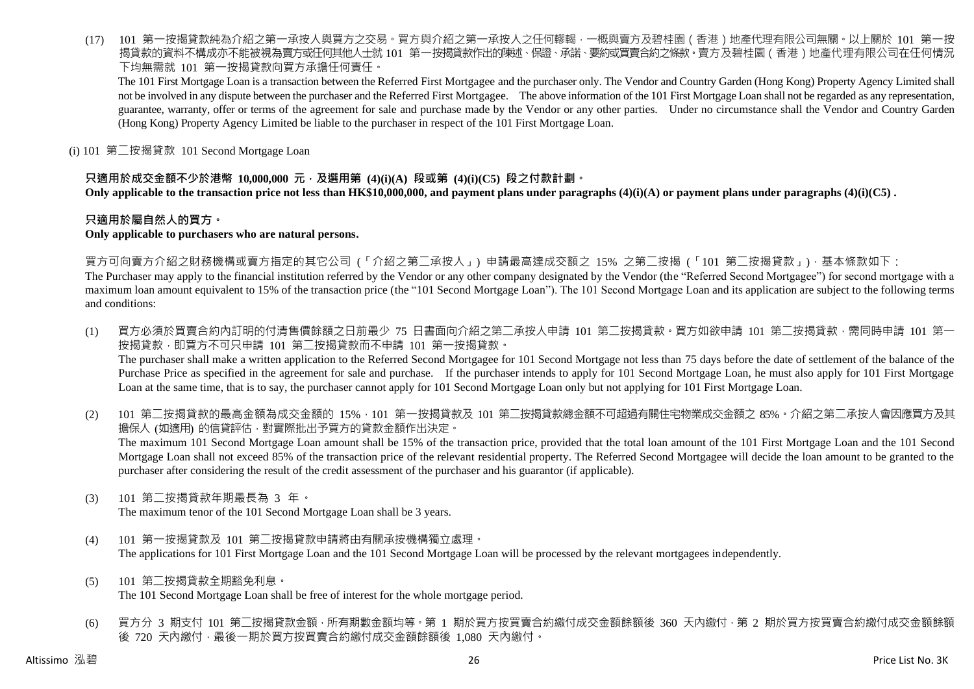(17) 101 第一按揭貸款純為介紹之第一承按人與買方之交易。買方與介紹之第一承按人之任何轇輵,一概與賣方及碧桂園(香港)地產代理有限公司無關。以上關於 101 第一按 揭貸款的資料不構成亦不能被視為賣方或任何其他人士就 101 第一按揭貸款作出的陳述、保證、承諾、要約或買賣合約之條款。賣方及碧桂園 ( 香港 ) 地產代理有限公司在任何情況 下均無需就 101 第一按揭貸款向買方承擔任何責任。

The 101 First Mortgage Loan is a transaction between the Referred First Mortgagee and the purchaser only. The Vendor and Country Garden (Hong Kong) Property Agency Limited shall not be involved in any dispute between the purchaser and the Referred First Mortgagee. The above information of the 101 First Mortgage Loan shall not be regarded as any representation, guarantee, warranty, offer or terms of the agreement for sale and purchase made by the Vendor or any other parties. Under no circumstance shall the Vendor and Country Garden (Hong Kong) Property Agency Limited be liable to the purchaser in respect of the 101 First Mortgage Loan.

(i) 101 第二按揭貸款 101 Second Mortgage Loan

# **只適用於成交金額不少於港幣 10,000,000 元,及選用第 (4)(i)(A) 段或第 (4)(i)(C5) 段之付款計劃。**

**Only applicable to the transaction price not less than HK\$10,000,000, and payment plans under paragraphs (4)(i)(A) or payment plans under paragraphs (4)(i)(C5) .**

## **只適用於屬自然人的買方。**

#### **Only applicable to purchasers who are natural persons.**

買方可向賣方介紹之財務機構或賣方指定的其它公司 (「介紹之第二承按人」) 申請最高達成交額之 15% 之第二按揭 (「101 第二按揭貸款」),基本條款如下:

The Purchaser may apply to the financial institution referred by the Vendor or any other company designated by the Vendor (the "Referred Second Mortgagee") for second mortgage with a maximum loan amount equivalent to 15% of the transaction price (the "101 Second Mortgage Loan"). The 101 Second Mortgage Loan and its application are subject to the following terms and conditions:

- (1) 買方必須於買賣合約內訂明的付清售價餘額之日前最少 75 日書面向介紹之第二承按人申請 101 第二按揭貸款。買方如欲申請 101 第二按揭貸款,需同時申請 101 第一 按揭貸款,即買方不可只申請 101 第二按揭貸款而不申請 101 第一按揭貸款。 The purchaser shall make a written application to the Referred Second Mortgagee for 101 Second Mortgage not less than 75 days before the date of settlement of the balance of the Purchase Price as specified in the agreement for sale and purchase. If the purchaser intends to apply for 101 Second Mortgage Loan, he must also apply for 101 First Mortgage Loan at the same time, that is to say, the purchaser cannot apply for 101 Second Mortgage Loan only but not applying for 101 First Mortgage Loan.
- (2) 101 第二按揭貸款的最高金額為成交金額的 15%,101 第一按揭貸款及 101 第二按揭貸款總金額不可超過有關住宅物業成交金額之 85%。介紹之第二承按人會因應買方及其 擔保人 (如適用) 的信貸評估,對實際批出予買方的貸款金額作出決定。 The maximum 101 Second Mortgage Loan amount shall be 15% of the transaction price, provided that the total loan amount of the 101 First Mortgage Loan and the 101 Second Mortgage Loan shall not exceed 85% of the transaction price of the relevant residential property. The Referred Second Mortgagee will decide the loan amount to be granted to the purchaser after considering the result of the credit assessment of the purchaser and his guarantor (if applicable).
- (3) 101 第二按揭貸款年期最長為 3 年。

The maximum tenor of the 101 Second Mortgage Loan shall be 3 years.

- (4) 101 第一按揭貸款及 101 第二按揭貸款申請將由有關承按機構獨立處理。 The applications for 101 First Mortgage Loan and the 101 Second Mortgage Loan will be processed by the relevant mortgagees independently.
- (5) 101 第二按揭貸款全期豁免利息。 The 101 Second Mortgage Loan shall be free of interest for the whole mortgage period.
- (6) 買方分 3 期支付 101 第二按揭貸款金額,所有期數金額均等。第 1 期於買方按買賣合約繳付成交金額餘額後 360 天內繳付,第 2 期於買方按買賣合約繳付成交金額餘額 後 720 天內繳付,最後一期於買方按買賣合約繳付成交金額餘額後 1,080 天內繳付。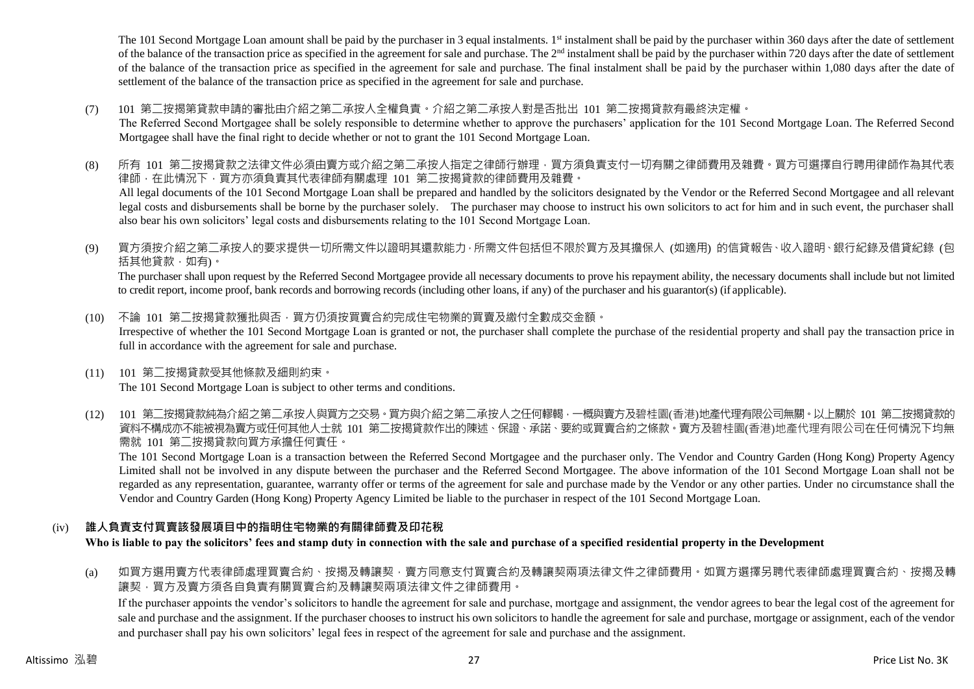The 101 Second Mortgage Loan amount shall be paid by the purchaser in 3 equal instalments. 1<sup>st</sup> instalment shall be paid by the purchaser within 360 days after the date of settlement of the balance of the transaction price as specified in the agreement for sale and purchase. The  $2<sup>nd</sup>$  instalment shall be paid by the purchaser within 720 days after the date of settlement of the balance of the transaction price as specified in the agreement for sale and purchase. The final instalment shall be paid by the purchaser within 1,080 days after the date of settlement of the balance of the transaction price as specified in the agreement for sale and purchase.

(7) 101 第二按揭第貸款申請的審批由介紹之第二承按人全權負責。介紹之第二承按人對是否批出 101 第二按揭貸款有最終決定權。

The Referred Second Mortgagee shall be solely responsible to determine whether to approve the purchasers' application for the 101 Second Mortgage Loan. The Referred Second Mortgagee shall have the final right to decide whether or not to grant the 101 Second Mortgage Loan.

- (8) 所有 101 第二按揭貸款之法律文件必須由賣方或介紹之第二承按人指定之律師行辦理,買方須負責支付一切有關之律師費用及雜費。買方可選擇自行聘用律師作為其代表 律師,在此情況下,買方亦須負責其代表律師有關處理 101 第二按揭貸款的律師費用及雜費。 All legal documents of the 101 Second Mortgage Loan shall be prepared and handled by the solicitors designated by the Vendor or the Referred Second Mortgagee and all relevant legal costs and disbursements shall be borne by the purchaser solely. The purchaser may choose to instruct his own solicitors to act for him and in such event, the purchaser shall also bear his own solicitors' legal costs and disbursements relating to the 101 Second Mortgage Loan.
- (9) 買方須按介紹之第二承按人的要求提供一切所需文件以證明其還款能力,所需文件包括但不限於買方及其擔保人 (如適用) 的信貸報告、收入證明、銀行紀錄及借貸紀錄 (包 括其他貸款,如有)。

The purchaser shall upon request by the Referred Second Mortgagee provide all necessary documents to prove his repayment ability, the necessary documents shall include but not limited to credit report, income proof, bank records and borrowing records (including other loans, if any) of the purchaser and his guarantor(s) (if applicable).

- (10) 不論 101 第二按揭貸款獲批與否,買方仍須按買賣合約完成住宅物業的買賣及繳付全數成交金額。 Irrespective of whether the 101 Second Mortgage Loan is granted or not, the purchaser shall complete the purchase of the residential property and shall pay the transaction price in full in accordance with the agreement for sale and purchase.
- (11) 101 第二按揭貸款受其他條款及細則約束。 The 101 Second Mortgage Loan is subject to other terms and conditions.
- (12) 101 第二按揭貸款純為介紹之第二承按人與買方之交易。買方與介紹之第二承按人之任何轇輵,一概與賣方及碧桂園(香港)地產代理有限公司無關。以上關於 101 第二按揭貸款的 資料不構成亦不能被視為賣方或任何其他人士就 101 第二按揭貸款作出的陳述、保證、承諾、要約或買賣合約之條款。賣方及碧桂園(香港)地產代理有限公司在任何情況下均無 需就 101 第二按揭貸款向買方承擔任何責任。

The 101 Second Mortgage Loan is a transaction between the Referred Second Mortgagee and the purchaser only. The Vendor and Country Garden (Hong Kong) Property Agency Limited shall not be involved in any dispute between the purchaser and the Referred Second Mortgagee. The above information of the 101 Second Mortgage Loan shall not be regarded as any representation, guarantee, warranty offer or terms of the agreement for sale and purchase made by the Vendor or any other parties. Under no circumstance shall the Vendor and Country Garden (Hong Kong) Property Agency Limited be liable to the purchaser in respect of the 101 Second Mortgage Loan.

# (iv) **誰人負責支付買賣該發展項目中的指明住宅物業的有關律師費及印花稅**

**Who is liable to pay the solicitors' fees and stamp duty in connection with the sale and purchase of a specified residential property in the Development**

(a) 如買方選用賣方代表律師處理買賣合約、按揭及轉讓契,賣方同意支付買賣合約及轉讓契兩項法律文件之律師費用。如買方選擇另聘代表律師處理買賣合約、按揭及轉 讓契,買方及賣方須各自負責有關買賣合約及轉讓契兩項法律文件之律師費用。

If the purchaser appoints the vendor's solicitors to handle the agreement for sale and purchase, mortgage and assignment, the vendor agrees to bear the legal cost of the agreement for sale and purchase and the assignment. If the purchaser chooses to instruct his own solicitors to handle the agreement for sale and purchase, mortgage or assignment, each of the vendor and purchaser shall pay his own solicitors' legal fees in respect of the agreement for sale and purchase and the assignment.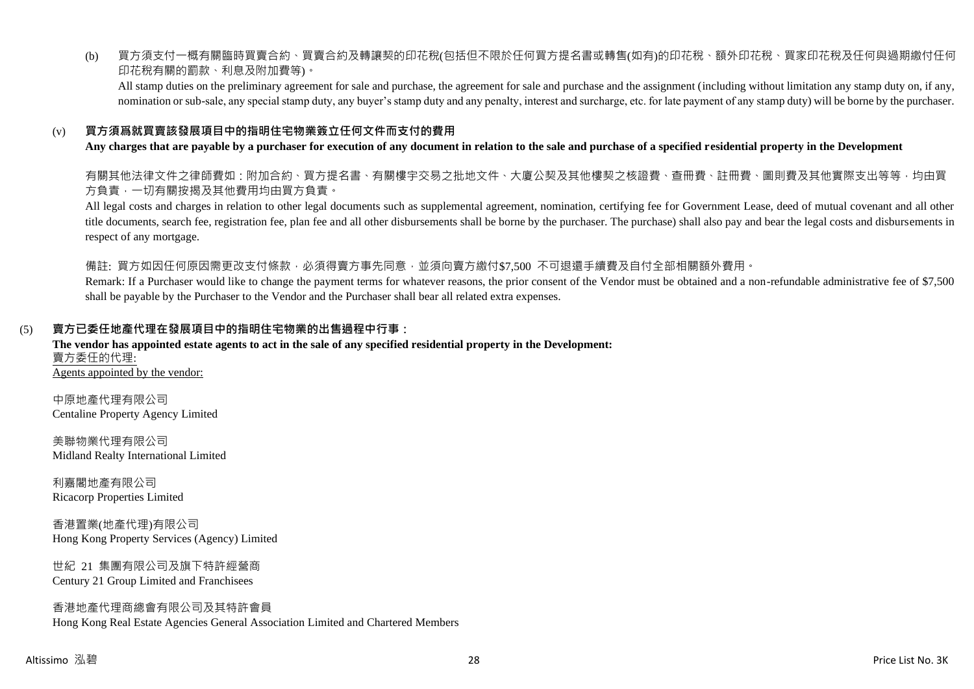(b) 買方須支付一概有關臨時買賣合約、買賣合約及轉讓契的印花稅(包括但不限於任何買方提名書或轉售(如有)的印花稅、額外印花稅、買家印花稅及任何與過期繳付任何 印花稅有關的罰款、利息及附加費等)。

All stamp duties on the preliminary agreement for sale and purchase, the agreement for sale and purchase and the assignment (including without limitation any stamp duty on, if any, nomination or sub-sale, any special stamp duty, any buyer's stamp duty and any penalty, interest and surcharge, etc. for late payment of any stamp duty) will be borne by the purchaser.

# (v) **買方須爲就買賣該發展項目中的指明住宅物業簽立任何文件而支付的費用**

#### **Any charges that are payable by a purchaser for execution of any document in relation to the sale and purchase of a specified residential property in the Development**

有關其他法律文件之律師費如:附加合約、買方提名書、有關樓宇交易之批地文件、大廈公契及其他樓契之核證費、查冊費、註冊費、圖則費及其他實際支出等等,均由買 方負責,一切有關按揭及其他費用均由買方負責。

All legal costs and charges in relation to other legal documents such as supplemental agreement, nomination, certifying fee for Government Lease, deed of mutual covenant and all other title documents, search fee, registration fee, plan fee and all other disbursements shall be borne by the purchaser. The purchase) shall also pay and bear the legal costs and disbursements in respect of any mortgage.

備註: 買方如因任何原因需更改支付條款,必須得賣方事先同意,並須向賣方繳付\$7,500 不可退還手續費及自付全部相關額外費用。

Remark: If a Purchaser would like to change the payment terms for whatever reasons, the prior consent of the Vendor must be obtained and a non-refundable administrative fee of \$7,500 shall be payable by the Purchaser to the Vendor and the Purchaser shall bear all related extra expenses.

#### (5) **賣方已委任地產代理在發展項目中的指明住宅物業的出售過程中行事:**

#### **The vendor has appointed estate agents to act in the sale of any specified residential property in the Development:** 賣方委任的代理: Agents appointed by the vendor:

中原地產代理有限公司 Centaline Property Agency Limited

美聯物業代理有限公司 Midland Realty International Limited

利嘉閣地產有限公司 Ricacorp Properties Limited

香港置業(地產代理)有限公司 Hong Kong Property Services (Agency) Limited

世紀 21 集團有限公司及旗下特許經營商 Century 21 Group Limited and Franchisees

#### 香港地產代理商總會有限公司及其特許會員 Hong Kong Real Estate Agencies General Association Limited and Chartered Members